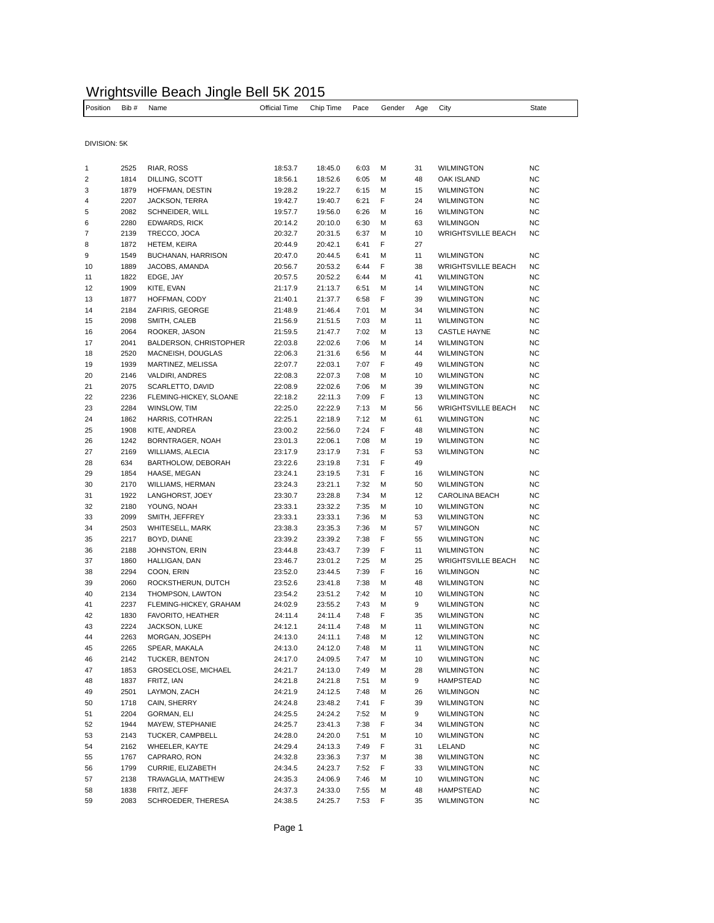## Wrightsville Beach Jingle Bell 5K 2015

| Position       | Bib #        | Name                                               | Official Time      | Chip Time          | Pace         | Gender | Age      | City                                   | State                  |
|----------------|--------------|----------------------------------------------------|--------------------|--------------------|--------------|--------|----------|----------------------------------------|------------------------|
|                |              |                                                    |                    |                    |              |        |          |                                        |                        |
|                |              |                                                    |                    |                    |              |        |          |                                        |                        |
| DIVISION: 5K   |              |                                                    |                    |                    |              |        |          |                                        |                        |
|                |              |                                                    |                    |                    |              |        |          |                                        |                        |
| 1              | 2525         | RIAR, ROSS                                         | 18:53.7            | 18:45.0            | 6:03         | М      | 31       | <b>WILMINGTON</b>                      | <b>NC</b>              |
| $\overline{2}$ | 1814         | DILLING, SCOTT                                     | 18:56.1            | 18:52.6            | 6:05         | М      | 48       | OAK ISLAND                             | <b>NC</b>              |
| 3<br>4         | 1879         | HOFFMAN, DESTIN                                    | 19:28.2            | 19:22.7            | 6:15         | М<br>F | 15<br>24 | <b>WILMINGTON</b>                      | ΝC<br><b>NC</b>        |
| 5              | 2207<br>2082 | JACKSON, TERRA<br>SCHNEIDER, WILL                  | 19:42.7<br>19:57.7 | 19:40.7<br>19:56.0 | 6:21<br>6:26 | м      | 16       | <b>WILMINGTON</b><br><b>WILMINGTON</b> | ΝC                     |
| 6              | 2280         | <b>EDWARDS, RICK</b>                               | 20:14.2            | 20:10.0            | 6:30         | М      | 63       | <b>WILMINGON</b>                       | <b>NC</b>              |
| 7              | 2139         | TRECCO, JOCA                                       | 20:32.7            | 20:31.5            | 6:37         | М      | 10       | <b>WRIGHTSVILLE BEACH</b>              | NC                     |
| 8              | 1872         | <b>HETEM, KEIRA</b>                                | 20:44.9            | 20:42.1            | 6:41         | F      | 27       |                                        |                        |
| 9              | 1549         | BUCHANAN, HARRISON                                 | 20:47.0            | 20:44.5            | 6:41         | М      | 11       | <b>WILMINGTON</b>                      | <b>NC</b>              |
| 10             | 1889         | JACOBS, AMANDA                                     | 20:56.7            | 20:53.2            | 6:44         | F      | 38       | <b>WRIGHTSVILLE BEACH</b>              | <b>NC</b>              |
| 11             | 1822         | EDGE, JAY                                          | 20:57.5            | 20:52.2            | 6:44         | М      | 41       | <b>WILMINGTON</b>                      | <b>NC</b>              |
| 12             | 1909         | KITE, EVAN                                         | 21:17.9            | 21:13.7            | 6:51         | М      | 14       | <b>WILMINGTON</b>                      | ΝC                     |
| 13             | 1877         | HOFFMAN, CODY                                      | 21:40.1            | 21:37.7            | 6:58         | F      | 39       | <b>WILMINGTON</b>                      | <b>NC</b>              |
| 14             | 2184         | ZAFIRIS, GEORGE                                    | 21:48.9            | 21:46.4            | 7:01         | М      | 34       | <b>WILMINGTON</b>                      | ΝC                     |
| 15             | 2098         | SMITH, CALEB                                       | 21:56.9            | 21:51.5            | 7:03         | М      | 11       | <b>WILMINGTON</b>                      | <b>NC</b>              |
| 16             | 2064         | ROOKER, JASON                                      | 21:59.5            | 21:47.7            | 7:02         | М      | 13       | <b>CASTLE HAYNE</b>                    | <b>NC</b>              |
| 17<br>18       | 2041<br>2520 | <b>BALDERSON, CHRISTOPHER</b><br>MACNEISH, DOUGLAS | 22:03.8<br>22:06.3 | 22:02.6<br>21:31.6 | 7:06<br>6:56 | М<br>М | 14<br>44 | <b>WILMINGTON</b><br><b>WILMINGTON</b> | <b>NC</b><br><b>NC</b> |
| 19             | 1939         | MARTINEZ, MELISSA                                  | 22:07.7            | 22:03.1            | 7:07         | F      | 49       | <b>WILMINGTON</b>                      | <b>NC</b>              |
| 20             | 2146         | VALDIRI, ANDRES                                    | 22:08.3            | 22:07.3            | 7:08         | М      | 10       | <b>WILMINGTON</b>                      | <b>NC</b>              |
| 21             | 2075         | SCARLETTO, DAVID                                   | 22:08.9            | 22:02.6            | 7:06         | М      | 39       | <b>WILMINGTON</b>                      | <b>NC</b>              |
| 22             | 2236         | FLEMING-HICKEY, SLOANE                             | 22:18.2            | 22:11.3            | 7:09         | F      | 13       | <b>WILMINGTON</b>                      | <b>NC</b>              |
| 23             | 2284         | WINSLOW, TIM                                       | 22:25.0            | 22:22.9            | 7:13         | М      | 56       | <b>WRIGHTSVILLE BEACH</b>              | NC                     |
| 24             | 1862         | HARRIS, COTHRAN                                    | 22:25.1            | 22:18.9            | 7:12         | М      | 61       | <b>WILMINGTON</b>                      | <b>NC</b>              |
| 25             | 1908         | KITE, ANDREA                                       | 23:00.2            | 22:56.0            | 7:24         | F      | 48       | <b>WILMINGTON</b>                      | NC                     |
| 26             | 1242         | BORNTRAGER, NOAH                                   | 23:01.3            | 22:06.1            | 7:08         | М      | 19       | <b>WILMINGTON</b>                      | <b>NC</b>              |
| 27             | 2169         | WILLIAMS, ALECIA                                   | 23:17.9            | 23:17.9            | 7:31         | F      | 53       | <b>WILMINGTON</b>                      | <b>NC</b>              |
| 28             | 634          | BARTHOLOW, DEBORAH                                 | 23:22.6            | 23:19.8            | 7:31         | F      | 49       |                                        |                        |
| 29             | 1854         | HAASE, MEGAN                                       | 23:24.1            | 23:19.5            | 7:31         | F      | 16       | <b>WILMINGTON</b>                      | <b>NC</b>              |
| 30             | 2170         | WILLIAMS, HERMAN                                   | 23:24.3            | 23:21.1            | 7:32         | м      | 50       | <b>WILMINGTON</b>                      | <b>NC</b>              |
| 31             | 1922         | LANGHORST, JOEY                                    | 23:30.7            | 23:28.8            | 7:34         | М      | 12       | CAROLINA BEACH                         | <b>NC</b>              |
| 32             | 2180         | YOUNG, NOAH                                        | 23:33.1            | 23:32.2            | 7:35         | М      | 10       | <b>WILMINGTON</b>                      | NC                     |
| 33<br>34       | 2099<br>2503 | SMITH, JEFFREY<br>WHITESELL, MARK                  | 23:33.1<br>23:38.3 | 23:33.1<br>23:35.3 | 7:36<br>7:36 | М<br>М | 53<br>57 | <b>WILMINGTON</b><br><b>WILMINGON</b>  | <b>NC</b><br><b>NC</b> |
| 35             | 2217         | BOYD, DIANE                                        | 23:39.2            | 23:39.2            | 7:38         | F      | 55       | <b>WILMINGTON</b>                      | <b>NC</b>              |
| 36             | 2188         | JOHNSTON, ERIN                                     | 23:44.8            | 23:43.7            | 7:39         | F      | 11       | <b>WILMINGTON</b>                      | <b>NC</b>              |
| 37             | 1860         | HALLIGAN, DAN                                      | 23:46.7            | 23:01.2            | 7:25         | М      | 25       | <b>WRIGHTSVILLE BEACH</b>              | NC                     |
| 38             | 2294         | COON, ERIN                                         | 23:52.0            | 23:44.5            | 7:39         | F      | 16       | <b>WILMINGON</b>                       | <b>NC</b>              |
| 39             | 2060         | ROCKSTHERUN, DUTCH                                 | 23:52.6            | 23:41.8            | 7:38         | м      | 48       | <b>WILMINGTON</b>                      | NC                     |
| 40             | 2134         | THOMPSON, LAWTON                                   | 23:54.2            | 23:51.2            | 7:42         | М      | 10       | <b>WILMINGTON</b>                      | <b>NC</b>              |
| 41             | 2237         | FLEMING-HICKEY, GRAHAM                             | 24:02.9            | 23:55.2            | 7:43         | М      | 9        | <b>WILMINGTON</b>                      | ΝC                     |
| 42             | 1830         | FAVORITO, HEATHER                                  | 24:11.4            | 24:11.4            | 7:48         | F      | 35       | <b>WILMINGTON</b>                      | <b>NC</b>              |
| 43             | 2224         | JACKSON, LUKE                                      | 24:12.1            | 24:11.4            | 7:48         | М      | 11       | <b>WILMINGTON</b>                      | <b>NC</b>              |
| 44             | 2263         | MORGAN, JOSEPH                                     | 24:13.0            | 24:11.1            | 7:48         | М      | 12       | <b>WILMINGTON</b>                      | ΝC                     |
| 45             | 2265         | SPEAR, MAKALA                                      | 24:13.0            | 24:12.0            | 7:48         | М      | 11       | <b>WILMINGTON</b>                      | <b>NC</b>              |
| 46             | 2142         | TUCKER, BENTON                                     | 24:17.0            | 24:09.5            | 7:47         | М      | 10       | <b>WILMINGTON</b>                      | NC                     |
| 47             | 1853         | GROSECLOSE, MICHAEL                                | 24:21.7            | 24:13.0            | 7:49         | М      | 28       | <b>WILMINGTON</b>                      | NC                     |
| 48             | 1837         | FRITZ, IAN                                         | 24:21.8            | 24:21.8            | 7:51         | м      | 9        | HAMPSTEAD                              | NC                     |
| 49             | 2501<br>1718 | LAYMON, ZACH                                       | 24:21.9            | 24:12.5            | 7:48<br>7:41 | М<br>F | 26<br>39 | <b>WILMINGON</b><br><b>WILMINGTON</b>  | NC<br>NC               |
| 50<br>51       | 2204         | CAIN, SHERRY<br>GORMAN, ELI                        | 24:24.8<br>24:25.5 | 23:48.2<br>24:24.2 | 7:52         | М      | 9        | <b>WILMINGTON</b>                      | <b>NC</b>              |
| 52             | 1944         | MAYEW, STEPHANIE                                   | 24:25.7            | 23:41.3            | 7:38         | F      | 34       | <b>WILMINGTON</b>                      | NC                     |
| 53             | 2143         | TUCKER, CAMPBELL                                   | 24:28.0            | 24:20.0            | 7:51         | М      | 10       | <b>WILMINGTON</b>                      | NC                     |
| 54             | 2162         | WHEELER, KAYTE                                     | 24:29.4            | 24:13.3            | 7:49         | F      | 31       | LELAND                                 | NC                     |
| 55             | 1767         | CAPRARO, RON                                       | 24:32.8            | 23:36.3            | 7:37         | М      | 38       | <b>WILMINGTON</b>                      | NC                     |
| 56             | 1799         | CURRIE, ELIZABETH                                  | 24:34.5            | 24:23.7            | 7:52         | F      | 33       | <b>WILMINGTON</b>                      | NC                     |
| 57             | 2138         | TRAVAGLIA, MATTHEW                                 | 24:35.3            | 24:06.9            | 7:46         | М      | 10       | <b>WILMINGTON</b>                      | NC                     |
| 58             | 1838         | FRITZ, JEFF                                        | 24:37.3            | 24:33.0            | 7:55         | М      | 48       | HAMPSTEAD                              | NC                     |
| 59             | 2083         | SCHROEDER, THERESA                                 | 24:38.5            | 24:25.7            | 7:53         | F      | 35       | <b>WILMINGTON</b>                      | <b>NC</b>              |
|                |              |                                                    |                    |                    |              |        |          |                                        |                        |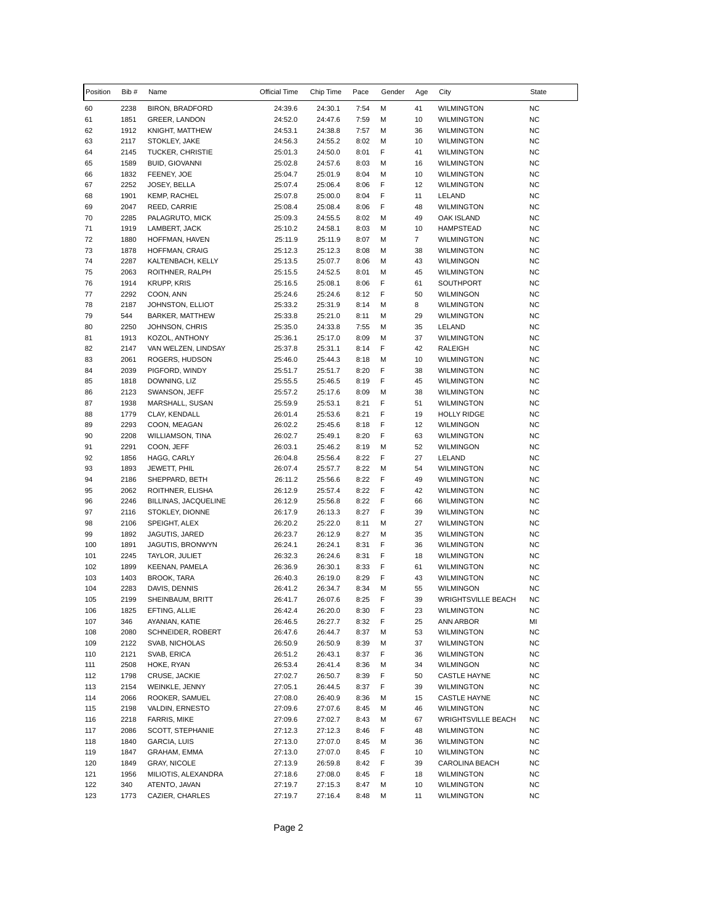| Position   | Bib #        | Name                             | Official Time      | Chip Time          | Pace         | Gender | Age                  | City                                   | State                  |
|------------|--------------|----------------------------------|--------------------|--------------------|--------------|--------|----------------------|----------------------------------------|------------------------|
| 60         | 2238         | <b>BIRON, BRADFORD</b>           | 24:39.6            | 24:30.1            | 7:54         | М      | 41                   | <b>WILMINGTON</b>                      | <b>NC</b>              |
| 61         | 1851         | GREER, LANDON                    | 24:52.0            | 24:47.6            | 7:59         | M      | 10                   | <b>WILMINGTON</b>                      | <b>NC</b>              |
| 62         | 1912         | KNIGHT, MATTHEW                  | 24:53.1            | 24:38.8            | 7:57         | M      | 36                   | <b>WILMINGTON</b>                      | <b>NC</b>              |
| 63         | 2117         | STOKLEY, JAKE                    | 24:56.3            | 24:55.2            | 8:02         | M      | 10                   | <b>WILMINGTON</b>                      | <b>NC</b>              |
| 64         | 2145         | TUCKER, CHRISTIE                 | 25:01.3            | 24:50.0            | 8:01         | F      | 41                   | <b>WILMINGTON</b>                      | <b>NC</b>              |
| 65         | 1589         | <b>BUID, GIOVANNI</b>            | 25:02.8            | 24:57.6            | 8:03         | M      | 16                   | <b>WILMINGTON</b>                      | <b>NC</b>              |
| 66         | 1832         | FEENEY, JOE                      | 25:04.7            | 25:01.9            | 8:04         | M      | 10                   | <b>WILMINGTON</b>                      | <b>NC</b>              |
| 67         | 2252         | JOSEY, BELLA                     | 25:07.4            | 25:06.4            | 8:06         | F      | 12                   | <b>WILMINGTON</b>                      | <b>NC</b>              |
| 68         | 1901         | <b>KEMP, RACHEL</b>              | 25:07.8            | 25:00.0            | 8:04         | F      | 11                   | LELAND                                 | <b>NC</b>              |
| 69         | 2047         | REED, CARRIE                     | 25:08.4            | 25:08.4            | 8:06         | F      | 48                   | <b>WILMINGTON</b>                      | <b>NC</b>              |
| 70         | 2285         | PALAGRUTO, MICK                  | 25:09.3            | 24:55.5            | 8:02         | M      | 49                   | OAK ISLAND                             | <b>NC</b>              |
| 71         | 1919         | LAMBERT, JACK                    | 25:10.2            | 24:58.1            | 8:03         | М      | 10                   | <b>HAMPSTEAD</b>                       | NC.                    |
| 72<br>73   | 1880<br>1878 | HOFFMAN, HAVEN<br>HOFFMAN, CRAIG | 25:11.9<br>25:12.3 | 25:11.9<br>25:12.3 | 8:07<br>8:08 | М<br>М | $\overline{7}$<br>38 | <b>WILMINGTON</b><br><b>WILMINGTON</b> | <b>NC</b><br><b>NC</b> |
| 74         | 2287         | KALTENBACH, KELLY                | 25:13.5            | 25:07.7            | 8:06         | M      | 43                   | <b>WILMINGON</b>                       | <b>NC</b>              |
| 75         | 2063         | ROITHNER, RALPH                  | 25:15.5            | 24:52.5            | 8:01         | M      | 45                   | <b>WILMINGTON</b>                      | <b>NC</b>              |
| 76         | 1914         | <b>KRUPP, KRIS</b>               | 25:16.5            | 25:08.1            | 8:06         | F      | 61                   | SOUTHPORT                              | <b>NC</b>              |
| 77         | 2292         | COON, ANN                        | 25:24.6            | 25:24.6            | 8:12         | F      | 50                   | WILMINGON                              | <b>NC</b>              |
| 78         | 2187         | JOHNSTON, ELLIOT                 | 25:33.2            | 25:31.9            | 8:14         | M      | 8                    | <b>WILMINGTON</b>                      | <b>NC</b>              |
| 79         | 544          | <b>BARKER, MATTHEW</b>           | 25:33.8            | 25:21.0            | 8:11         | М      | 29                   | <b>WILMINGTON</b>                      | <b>NC</b>              |
| 80         | 2250         | JOHNSON, CHRIS                   | 25:35.0            | 24:33.8            | 7:55         | М      | 35                   | LELAND                                 | NC.                    |
| 81         | 1913         | KOZOL, ANTHONY                   | 25:36.1            | 25:17.0            | 8:09         | M      | 37                   | <b>WILMINGTON</b>                      | <b>NC</b>              |
| 82         | 2147         | VAN WELZEN, LINDSAY              | 25:37.8            | 25:31.1            | 8:14         | F      | 42                   | RALEIGH                                | <b>NC</b>              |
| 83         | 2061         | ROGERS, HUDSON                   | 25:46.0            | 25:44.3            | 8:18         | M      | 10                   | <b>WILMINGTON</b>                      | <b>NC</b>              |
| 84         | 2039         | PIGFORD, WINDY                   | 25:51.7            | 25:51.7            | 8:20         | F      | 38                   | <b>WILMINGTON</b>                      | <b>NC</b>              |
| 85         | 1818         | DOWNING, LIZ                     | 25:55.5            | 25:46.5            | 8:19         | F      | 45                   | <b>WILMINGTON</b>                      | <b>NC</b>              |
| 86         | 2123         | SWANSON, JEFF                    | 25:57.2            | 25:17.6            | 8:09         | M      | 38                   | <b>WILMINGTON</b>                      | <b>NC</b>              |
| 87         | 1938         | MARSHALL, SUSAN                  | 25:59.9            | 25:53.1            | 8:21         | F      | 51                   | <b>WILMINGTON</b>                      | <b>NC</b>              |
| 88         | 1779         | CLAY, KENDALL                    | 26:01.4            | 25:53.6            | 8:21         | F      | 19                   | <b>HOLLY RIDGE</b>                     | <b>NC</b>              |
| 89         | 2293         | COON, MEAGAN                     | 26:02.2            | 25:45.6            | 8:18         | F      | 12                   | WILMINGON                              | NC.                    |
| 90         | 2208         | WILLIAMSON, TINA                 | 26:02.7            | 25:49.1            | 8:20         | F      | 63                   | <b>WILMINGTON</b>                      | <b>NC</b>              |
| 91         | 2291         | COON, JEFF                       | 26:03.1            | 25:46.2            | 8:19         | M      | 52                   | <b>WILMINGON</b>                       | <b>NC</b>              |
| 92         | 1856         | HAGG, CARLY                      | 26:04.8            | 25:56.4            | 8:22         | F      | 27                   | LELAND                                 | <b>NC</b>              |
| 93         | 1893         | JEWETT, PHIL                     | 26:07.4            | 25:57.7            | 8:22         | M      | 54                   | <b>WILMINGTON</b>                      | <b>NC</b>              |
| 94         | 2186         | SHEPPARD, BETH                   | 26:11.2            | 25:56.6            | 8:22         | F      | 49                   | <b>WILMINGTON</b>                      | <b>NC</b>              |
| 95         | 2062         | ROITHNER, ELISHA                 | 26:12.9            | 25:57.4            | 8:22         | F      | 42                   | <b>WILMINGTON</b>                      | <b>NC</b>              |
| 96         | 2246         | BILLINAS, JACQUELINE             | 26:12.9            | 25:56.8            | 8:22         | F      | 66                   | <b>WILMINGTON</b>                      | <b>NC</b>              |
| 97         | 2116         | STOKLEY, DIONNE                  | 26:17.9            | 26:13.3            | 8:27         | F      | 39                   | <b>WILMINGTON</b>                      | <b>NC</b>              |
| 98         | 2106         | SPEIGHT, ALEX                    | 26:20.2            | 25:22.0            | 8:11         | М      | 27                   | <b>WILMINGTON</b>                      | <b>NC</b>              |
| 99         | 1892         | JAGUTIS, JARED                   | 26:23.7            | 26:12.9            | 8:27         | M<br>F | 35                   | <b>WILMINGTON</b>                      | <b>NC</b>              |
| 100<br>101 | 1891<br>2245 | JAGUTIS, BRONWYN                 | 26:24.1<br>26:32.3 | 26:24.1<br>26:24.6 | 8:31<br>8:31 | F      | 36<br>18             | <b>WILMINGTON</b><br><b>WILMINGTON</b> | <b>NC</b><br><b>NC</b> |
| 102        | 1899         | TAYLOR, JULIET<br>KEENAN, PAMELA | 26:36.9            | 26:30.1            | 8:33         | F      | 61                   | <b>WILMINGTON</b>                      | NC                     |
| 103        | 1403         | BROOK, TARA                      | 26:40.3            | 26:19.0            | 8:29         | F      | 43                   | <b>WILMINGTON</b>                      | <b>NC</b>              |
| 104        | 2283         | DAVIS, DENNIS                    | 26:41.2            | 26:34.7            | 8:34         | M      | 55                   | WILMINGON                              | <b>NC</b>              |
| 105        | 2199         | SHEINBAUM, BRITT                 | 26:41.7            | 26:07.6            | 8:25         | F      | 39                   | <b>WRIGHTSVILLE BEACH</b>              | <b>NC</b>              |
| 106        | 1825         | EFTING, ALLIE                    | 26:42.4            | 26:20.0            | 8:30         | F      | 23                   | <b>WILMINGTON</b>                      | <b>NC</b>              |
| 107        | 346          | AYANIAN, KATIE                   | 26:46.5            | 26:27.7            | 8:32         | F      | 25                   | ANN ARBOR                              | MI                     |
| 108        | 2080         | SCHNEIDER, ROBERT                | 26:47.6            | 26:44.7            | 8:37         | М      | 53                   | <b>WILMINGTON</b>                      | <b>NC</b>              |
| 109        | 2122         | SVAB, NICHOLAS                   | 26:50.9            | 26:50.9            | 8:39         | М      | 37                   | <b>WILMINGTON</b>                      | <b>NC</b>              |
| 110        | 2121         | SVAB, ERICA                      | 26:51.2            | 26:43.1            | 8:37         | F      | 36                   | <b>WILMINGTON</b>                      | <b>NC</b>              |
| 111        | 2508         | HOKE, RYAN                       | 26:53.4            | 26:41.4            | 8:36         | М      | 34                   | WILMINGON                              | <b>NC</b>              |
| 112        | 1798         | CRUSE, JACKIE                    | 27:02.7            | 26:50.7            | 8:39         | F      | 50                   | CASTLE HAYNE                           | <b>NC</b>              |
| 113        | 2154         | WEINKLE, JENNY                   | 27:05.1            | 26:44.5            | 8:37         | F      | 39                   | <b>WILMINGTON</b>                      | <b>NC</b>              |
| 114        | 2066         | ROOKER, SAMUEL                   | 27:08.0            | 26:40.9            | 8:36         | М      | 15                   | CASTLE HAYNE                           | NC                     |
| 115        | 2198         | VALDIN, ERNESTO                  | 27:09.6            | 27:07.6            | 8:45         | М      | 46                   | WILMINGTON                             | <b>NC</b>              |
| 116        | 2218         | <b>FARRIS, MIKE</b>              | 27:09.6            | 27:02.7            | 8:43         | М      | 67                   | <b>WRIGHTSVILLE BEACH</b>              | <b>NC</b>              |
| 117        | 2086         | SCOTT, STEPHANIE                 | 27:12.3            | 27:12.3            | 8:46         | F      | 48                   | <b>WILMINGTON</b>                      | <b>NC</b>              |
| 118        | 1840         | GARCIA, LUIS                     | 27:13.0            | 27:07.0            | 8:45         | М      | 36                   | WILMINGTON                             | NC                     |
| 119        | 1847         | GRAHAM, EMMA                     | 27:13.0            | 27:07.0            | 8:45         | F      | 10                   | <b>WILMINGTON</b>                      | <b>NC</b>              |
| 120        | 1849         | <b>GRAY, NICOLE</b>              | 27:13.9            | 26:59.8            | 8:42         | F      | 39                   | CAROLINA BEACH                         | <b>NC</b>              |
| 121        | 1956         | MILIOTIS, ALEXANDRA              | 27:18.6            | 27:08.0            | 8:45         | F      | 18                   | <b>WILMINGTON</b>                      | NC                     |
| 122        | 340          | ATENTO, JAVAN                    | 27:19.7            | 27:15.3            | 8:47         | М      | 10                   | WILMINGTON                             | <b>NC</b>              |
| 123        | 1773         | CAZIER, CHARLES                  | 27:19.7            | 27:16.4            | 8:48         | М      | 11                   | WILMINGTON                             | <b>NC</b>              |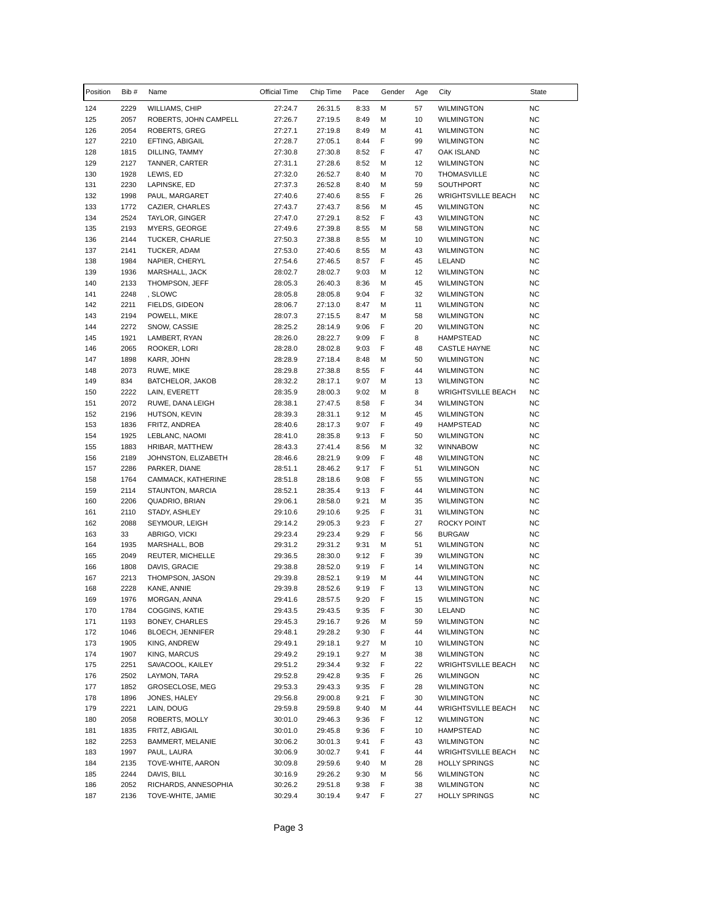| Position   | Bib#         | Name                                      | Official Time      | Chip Time          | Pace         | Gender | Age      | City                                           | State                  |
|------------|--------------|-------------------------------------------|--------------------|--------------------|--------------|--------|----------|------------------------------------------------|------------------------|
| 124        | 2229         | <b>WILLIAMS, CHIP</b>                     | 27:24.7            | 26:31.5            | 8:33         | М      | 57       | <b>WILMINGTON</b>                              | <b>NC</b>              |
| 125        | 2057         | ROBERTS, JOHN CAMPELL                     | 27:26.7            | 27:19.5            | 8:49         | M      | 10       | <b>WILMINGTON</b>                              | <b>NC</b>              |
| 126        | 2054         | <b>ROBERTS, GREG</b>                      | 27:27.1            | 27:19.8            | 8:49         | М      | 41       | <b>WILMINGTON</b>                              | <b>NC</b>              |
| 127        | 2210         | EFTING, ABIGAIL                           | 27:28.7            | 27:05.1            | 8:44         | F      | 99       | <b>WILMINGTON</b>                              | <b>NC</b>              |
| 128        | 1815         | DILLING, TAMMY                            | 27:30.8            | 27:30.8            | 8:52         | F      | 47       | OAK ISLAND                                     | NC                     |
| 129        | 2127         | TANNER, CARTER                            | 27:31.1            | 27:28.6            | 8:52         | M      | 12       | <b>WILMINGTON</b>                              | <b>NC</b>              |
| 130        | 1928         | LEWIS, ED                                 | 27:32.0            | 26:52.7            | 8:40         | М      | 70       | <b>THOMASVILLE</b>                             | <b>NC</b>              |
| 131        | 2230         | LAPINSKE, ED                              | 27:37.3            | 26:52.8            | 8:40         | M      | 59       | SOUTHPORT                                      | <b>NC</b>              |
| 132        | 1998         | PAUL, MARGARET<br>CAZIER, CHARLES         | 27:40.6            | 27:40.6            | 8:55         | F<br>M | 26       | <b>WRIGHTSVILLE BEACH</b>                      | NC<br><b>NC</b>        |
| 133<br>134 | 1772<br>2524 | TAYLOR, GINGER                            | 27:43.7<br>27:47.0 | 27:43.7<br>27:29.1 | 8:56<br>8:52 | F      | 45<br>43 | <b>WILMINGTON</b><br><b>WILMINGTON</b>         | <b>NC</b>              |
| 135        | 2193         | <b>MYERS, GEORGE</b>                      | 27:49.6            | 27:39.8            | 8:55         | М      | 58       | <b>WILMINGTON</b>                              | ΝC                     |
| 136        | 2144         | TUCKER, CHARLIE                           | 27:50.3            | 27:38.8            | 8:55         | М      | 10       | <b>WILMINGTON</b>                              | ΝC                     |
| 137        | 2141         | TUCKER, ADAM                              | 27:53.0            | 27:40.6            | 8:55         | M      | 43       | <b>WILMINGTON</b>                              | <b>NC</b>              |
| 138        | 1984         | NAPIER, CHERYL                            | 27:54.6            | 27:46.5            | 8:57         | F      | 45       | LELAND                                         | <b>NC</b>              |
| 139        | 1936         | MARSHALL, JACK                            | 28:02.7            | 28:02.7            | 9:03         | М      | 12       | <b>WILMINGTON</b>                              | <b>NC</b>              |
| 140        | 2133         | THOMPSON, JEFF                            | 28:05.3            | 26:40.3            | 8:36         | М      | 45       | <b>WILMINGTON</b>                              | <b>NC</b>              |
| 141        | 2248         | , SLOWC                                   | 28:05.8            | 28:05.8            | 9:04         | F      | 32       | <b>WILMINGTON</b>                              | <b>NC</b>              |
| 142        | 2211         | FIELDS, GIDEON                            | 28:06.7            | 27:13.0            | 8:47         | М      | 11       | <b>WILMINGTON</b>                              | <b>NC</b>              |
| 143        | 2194         | POWELL, MIKE                              | 28:07.3            | 27:15.5            | 8:47         | M      | 58       | <b>WILMINGTON</b>                              | ΝC                     |
| 144        | 2272         | SNOW, CASSIE                              | 28:25.2            | 28:14.9            | 9:06         | F      | 20       | <b>WILMINGTON</b>                              | ΝC                     |
| 145        | 1921         | LAMBERT, RYAN                             | 28:26.0            | 28:22.7            | 9:09         | F      | 8        | <b>HAMPSTEAD</b>                               | <b>NC</b>              |
| 146        | 2065         | ROOKER, LORI                              | 28:28.0            | 28:02.8            | 9:03         | F      | 48       | <b>CASTLE HAYNE</b>                            | <b>NC</b>              |
| 147        | 1898         | KARR, JOHN                                | 28:28.9            | 27:18.4            | 8:48         | M      | 50       | <b>WILMINGTON</b>                              | ΝC                     |
| 148        | 2073         | RUWE, MIKE                                | 28:29.8            | 27:38.8            | 8:55         | F      | 44       | <b>WILMINGTON</b>                              | ΝC                     |
| 149        | 834          | BATCHELOR, JAKOB                          | 28:32.2            | 28:17.1            | 9:07         | M      | 13       | <b>WILMINGTON</b>                              | <b>NC</b>              |
| 150<br>151 | 2222<br>2072 | LAIN, EVERETT<br>RUWE, DANA LEIGH         | 28:35.9<br>28:38.1 | 28:00.3            | 9:02<br>8:58 | M<br>F | 8<br>34  | <b>WRIGHTSVILLE BEACH</b><br><b>WILMINGTON</b> | NC<br><b>NC</b>        |
| 152        | 2196         | HUTSON, KEVIN                             | 28:39.3            | 27:47.5<br>28:31.1 | 9:12         | M      | 45       | <b>WILMINGTON</b>                              | ΝC                     |
| 153        | 1836         | FRITZ, ANDREA                             | 28:40.6            | 28:17.3            | 9:07         | F      | 49       | <b>HAMPSTEAD</b>                               | ΝC                     |
| 154        | 1925         | LEBLANC, NAOMI                            | 28:41.0            | 28:35.8            | 9:13         | F      | 50       | <b>WILMINGTON</b>                              | <b>NC</b>              |
| 155        | 1883         | HRIBAR, MATTHEW                           | 28:43.3            | 27:41.4            | 8:56         | M      | 32       | <b>WINNABOW</b>                                | <b>NC</b>              |
| 156        | 2189         | JOHNSTON, ELIZABETH                       | 28:46.6            | 28:21.9            | 9:09         | F      | 48       | <b>WILMINGTON</b>                              | <b>NC</b>              |
| 157        | 2286         | PARKER, DIANE                             | 28:51.1            | 28:46.2            | 9:17         | F      | 51       | <b>WILMINGON</b>                               | ΝC                     |
| 158        | 1764         | CAMMACK, KATHERINE                        | 28:51.8            | 28:18.6            | 9:08         | F      | 55       | <b>WILMINGTON</b>                              | <b>NC</b>              |
| 159        | 2114         | STAUNTON, MARCIA                          | 28:52.1            | 28:35.4            | 9:13         | F      | 44       | <b>WILMINGTON</b>                              | <b>NC</b>              |
| 160        | 2206         | QUADRIO, BRIAN                            | 29:06.1            | 28:58.0            | 9:21         | M      | 35       | <b>WILMINGTON</b>                              | ΝC                     |
| 161        | 2110         | STADY, ASHLEY                             | 29:10.6            | 29:10.6            | 9:25         | F      | 31       | <b>WILMINGTON</b>                              | ΝC                     |
| 162        | 2088         | SEYMOUR, LEIGH                            | 29:14.2            | 29:05.3            | 9:23         | F      | 27       | <b>ROCKY POINT</b>                             | <b>NC</b>              |
| 163        | 33           | ABRIGO, VICKI                             | 29:23.4            | 29:23.4            | 9:29         | F      | 56       | <b>BURGAW</b>                                  | <b>NC</b>              |
| 164        | 1935         | MARSHALL, BOB                             | 29:31.2            | 29:31.2            | 9:31         | M      | 51       | <b>WILMINGTON</b>                              | NC                     |
| 165        | 2049         | REUTER, MICHELLE                          | 29:36.5            | 28:30.0            | 9:12         | F      | 39       | <b>WILMINGTON</b>                              | NC                     |
| 166        | 1808         | DAVIS, GRACIE                             | 29:38.8            | 28:52.0            | 9:19         | F      | 14       | <b>WILMINGTON</b>                              | NC                     |
| 167<br>168 | 2213<br>2228 | THOMPSON, JASON<br>KANE, ANNIE            | 29:39.8<br>29:39.8 | 28:52.1<br>28:52.6 | 9:19<br>9:19 | M<br>F | 44<br>13 | <b>WILMINGTON</b><br><b>WILMINGTON</b>         | <b>NC</b><br><b>NC</b> |
| 169        | 1976         | MORGAN, ANNA                              | 29:41.6            | 28:57.5            | 9:20         | F      | 15       | WILMINGTON                                     | <b>NC</b>              |
| 170        | 1784         | COGGINS, KATIE                            | 29:43.5            | 29:43.5            | 9:35         | F      | 30       | LELAND                                         | NC                     |
| 171        | 1193         | BONEY, CHARLES                            | 29:45.3            | 29:16.7            | 9:26         | М      | 59       | <b>WILMINGTON</b>                              | NC                     |
| 172        | 1046         | BLOECH, JENNIFER                          | 29:48.1            | 29:28.2            | 9:30         | F      | 44       | <b>WILMINGTON</b>                              | NC                     |
| 173        | 1905         | KING, ANDREW                              | 29:49.1            | 29:18.1            | 9:27         | М      | 10       | WILMINGTON                                     | <b>NC</b>              |
| 174        | 1907         | KING, MARCUS                              | 29:49.2            | 29:19.1            | 9:27         | М      | 38       | <b>WILMINGTON</b>                              | <b>NC</b>              |
| 175        | 2251         | SAVACOOL, KAILEY                          | 29:51.2            | 29:34.4            | 9:32         | F      | 22       | <b>WRIGHTSVILLE BEACH</b>                      | <b>NC</b>              |
| 176        | 2502         | LAYMON, TARA                              | 29:52.8            | 29:42.8            | 9:35         | F      | 26       | WILMINGON                                      | ΝC                     |
| 177        | 1852         | GROSECLOSE, MEG                           | 29:53.3            | 29:43.3            | 9:35         | F      | 28       | WILMINGTON                                     | ΝC                     |
| 178        | 1896         | JONES, HALEY                              | 29:56.8            | 29:00.8            | 9:21         | F      | 30       | WILMINGTON                                     | ΝC                     |
| 179        | 2221         | LAIN, DOUG                                | 29:59.8            | 29:59.8            | 9:40         | М      | 44       | <b>WRIGHTSVILLE BEACH</b>                      | <b>NC</b>              |
| 180        | 2058         | ROBERTS, MOLLY                            | 30:01.0            | 29:46.3            | 9:36         | F      | 12       | <b>WILMINGTON</b>                              | NC                     |
| 181        | 1835         | FRITZ, ABIGAIL                            | 30:01.0            | 29:45.8            | 9:36         | F      | 10       | HAMPSTEAD                                      | NC                     |
| 182        | 2253         | BAMMERT, MELANIE                          | 30:06.2            | 30:01.3            | 9:41         | F      | 43       | WILMINGTON                                     | <b>NC</b>              |
| 183        | 1997         | PAUL, LAURA                               | 30:06.9            | 30:02.7            | 9:41         | F      | 44       | <b>WRIGHTSVILLE BEACH</b>                      | <b>NC</b>              |
| 184        | 2135         | TOVE-WHITE, AARON                         | 30:09.8            | 29:59.6            | 9:40         | М      | 28       | <b>HOLLY SPRINGS</b>                           | <b>NC</b>              |
| 185        | 2244         | DAVIS, BILL                               | 30:16.9            | 29:26.2            | 9:30         | М      | 56       | <b>WILMINGTON</b>                              | NC                     |
| 186<br>187 | 2052<br>2136 | RICHARDS, ANNESOPHIA<br>TOVE-WHITE, JAMIE | 30:26.2<br>30:29.4 | 29:51.8<br>30:19.4 | 9:38<br>9:47 | F<br>F | 38<br>27 | <b>WILMINGTON</b><br><b>HOLLY SPRINGS</b>      | ΝC<br><b>NC</b>        |
|            |              |                                           |                    |                    |              |        |          |                                                |                        |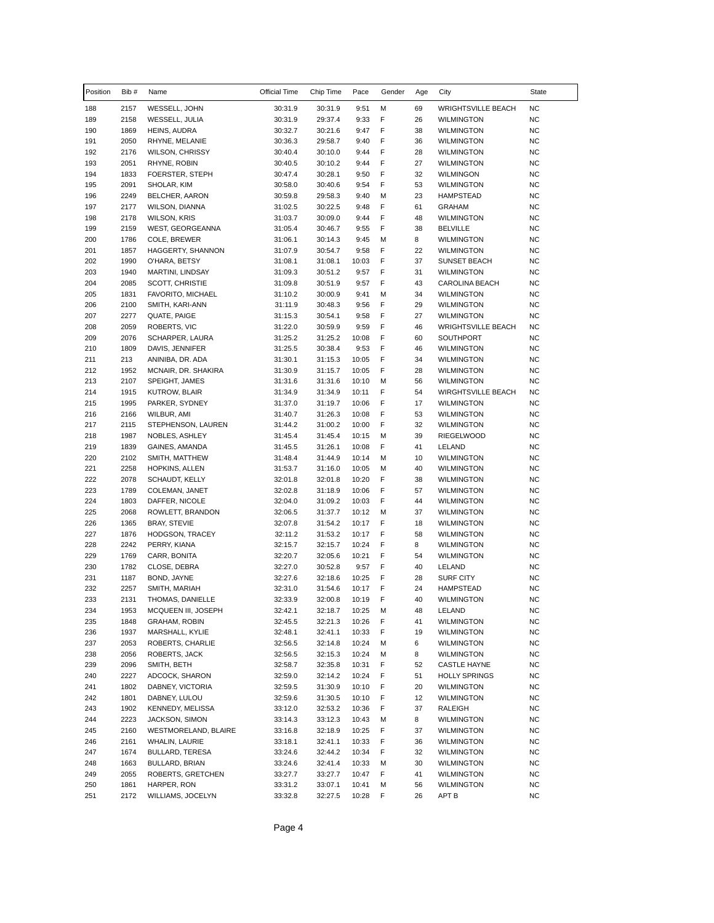| Position   | Bib #        | Name                                    | Official Time      | Chip Time          | Pace           | Gender | Age      | City                                           | State           |
|------------|--------------|-----------------------------------------|--------------------|--------------------|----------------|--------|----------|------------------------------------------------|-----------------|
| 188        | 2157         | WESSELL, JOHN                           | 30:31.9            | 30:31.9            | 9:51           | М      | 69       | <b>WRIGHTSVILLE BEACH</b>                      | <b>NC</b>       |
| 189        | 2158         | WESSELL, JULIA                          | 30:31.9            | 29:37.4            | 9:33           | F      | 26       | <b>WILMINGTON</b>                              | <b>NC</b>       |
| 190        | 1869         | HEINS, AUDRA                            | 30:32.7            | 30:21.6            | 9:47           | F      | 38       | <b>WILMINGTON</b>                              | <b>NC</b>       |
| 191        | 2050         | RHYNE, MELANIE                          | 30:36.3            | 29:58.7            | 9:40           | F      | 36       | <b>WILMINGTON</b>                              | <b>NC</b>       |
| 192        | 2176         | <b>WILSON, CHRISSY</b>                  | 30:40.4            | 30:10.0            | 9:44           | F      | 28       | <b>WILMINGTON</b>                              | <b>NC</b>       |
| 193        | 2051         | RHYNE, ROBIN                            | 30:40.5            | 30:10.2            | 9:44           | F      | 27       | <b>WILMINGTON</b>                              | <b>NC</b>       |
| 194        | 1833         | FOERSTER, STEPH                         | 30:47.4            | 30:28.1            | 9:50           | F      | 32       | <b>WILMINGON</b>                               | <b>NC</b>       |
| 195        | 2091         | SHOLAR, KIM                             | 30:58.0            | 30:40.6            | 9:54           | F      | 53       | <b>WILMINGTON</b>                              | <b>NC</b>       |
| 196        | 2249         | BELCHER, AARON                          | 30:59.8            | 29:58.3            | 9:40           | M      | 23       | <b>HAMPSTEAD</b>                               | <b>NC</b>       |
| 197        | 2177         | <b>WILSON, DIANNA</b>                   | 31:02.5            | 30:22.5            | 9:48           | F      | 61       | <b>GRAHAM</b>                                  | <b>NC</b>       |
| 198        | 2178         | <b>WILSON, KRIS</b>                     | 31:03.7            | 30:09.0            | 9:44           | F      | 48       | <b>WILMINGTON</b>                              | <b>NC</b>       |
| 199        | 2159         | <b>WEST, GEORGEANNA</b>                 | 31:05.4            | 30:46.7            | 9:55           | F      | 38       | <b>BELVILLE</b>                                | NC.             |
| 200        | 1786         | COLE, BREWER                            | 31:06.1            | 30:14.3            | 9:45           | M      | 8        | <b>WILMINGTON</b>                              | <b>NC</b>       |
| 201        | 1857         | HAGGERTY, SHANNON                       | 31:07.9            | 30:54.7            | 9:58           | F      | 22       | WILMINGTON                                     | <b>NC</b>       |
| 202        | 1990         | O'HARA, BETSY                           | 31:08.1            | 31:08.1            | 10:03          | F      | 37       | <b>SUNSET BEACH</b>                            | <b>NC</b>       |
| 203        | 1940         | MARTINI, LINDSAY                        | 31:09.3            | 30:51.2            | 9:57           | F      | 31       | <b>WILMINGTON</b>                              | <b>NC</b>       |
| 204        | 2085         | <b>SCOTT, CHRISTIE</b>                  | 31:09.8            | 30:51.9            | 9:57           | F      | 43       | CAROLINA BEACH                                 | <b>NC</b>       |
| 205        | 1831         | FAVORITO, MICHAEL                       | 31:10.2            | 30:00.9            | 9:41           | M      | 34       | <b>WILMINGTON</b>                              | <b>NC</b>       |
| 206        | 2100         | SMITH, KARI-ANN                         | 31:11.9            | 30:48.3            | 9:56           | F      | 29       | <b>WILMINGTON</b>                              | <b>NC</b>       |
| 207        | 2277         | QUATE, PAIGE                            | 31:15.3            | 30:54.1            | 9:58           | F<br>F | 27       | <b>WILMINGTON</b><br><b>WRIGHTSVILLE BEACH</b> | <b>NC</b>       |
| 208        | 2059         | ROBERTS, VIC                            | 31:22.0            | 30:59.9            | 9:59           | F      | 46       |                                                | NC.             |
| 209        | 2076         | SCHARPER, LAURA                         | 31:25.2            | 31:25.2            | 10:08          | F      | 60       | SOUTHPORT                                      | <b>NC</b>       |
| 210        | 1809         | DAVIS, JENNIFER                         | 31:25.5            | 30:38.4            | 9:53           | F      | 46       | <b>WILMINGTON</b>                              | <b>NC</b>       |
| 211        | 213          | ANINIBA, DR. ADA<br>MCNAIR, DR. SHAKIRA | 31:30.1            | 31:15.3            | 10:05          | F      | 34       | <b>WILMINGTON</b>                              | <b>NC</b>       |
| 212        | 1952         |                                         | 31:30.9            | 31:15.7            | 10:05          |        | 28       | <b>WILMINGTON</b>                              | NC              |
| 213<br>214 | 2107<br>1915 | SPEIGHT, JAMES                          | 31:31.6<br>31:34.9 | 31:31.6<br>31:34.9 | 10:10<br>10:11 | M<br>F | 56<br>54 | <b>WILMINGTON</b><br><b>WIRGHTSVILLE BEACH</b> | <b>NC</b><br>NC |
| 215        | 1995         | KUTROW, BLAIR<br>PARKER, SYDNEY         | 31:37.0            | 31:19.7            | 10:06          | F      | 17       | <b>WILMINGTON</b>                              | <b>NC</b>       |
| 216        | 2166         | WILBUR, AMI                             | 31:40.7            | 31:26.3            | 10:08          | F      | 53       | <b>WILMINGTON</b>                              | <b>NC</b>       |
| 217        | 2115         | STEPHENSON, LAUREN                      | 31:44.2            | 31:00.2            | 10:00          | F      | 32       | <b>WILMINGTON</b>                              | NC.             |
| 218        | 1987         | NOBLES, ASHLEY                          | 31:45.4            | 31:45.4            | 10:15          | M      | 39       | <b>RIEGELWOOD</b>                              | <b>NC</b>       |
| 219        | 1839         | GAINES, AMANDA                          | 31:45.5            | 31:26.1            | 10:08          | F      | 41       | LELAND                                         | <b>NC</b>       |
| 220        | 2102         | SMITH, MATTHEW                          | 31:48.4            | 31:44.9            | 10:14          | М      | 10       | <b>WILMINGTON</b>                              | <b>NC</b>       |
| 221        | 2258         | HOPKINS, ALLEN                          | 31:53.7            | 31:16.0            | 10:05          | М      | 40       | <b>WILMINGTON</b>                              | <b>NC</b>       |
| 222        | 2078         | SCHAUDT, KELLY                          | 32:01.8            | 32:01.8            | 10:20          | F      | 38       | <b>WILMINGTON</b>                              | <b>NC</b>       |
| 223        | 1789         | COLEMAN, JANET                          | 32:02.8            | 31:18.9            | 10:06          | F      | 57       | <b>WILMINGTON</b>                              | <b>NC</b>       |
| 224        | 1803         | DAFFER, NICOLE                          | 32:04.0            | 31:09.2            | 10:03          | F      | 44       | <b>WILMINGTON</b>                              | <b>NC</b>       |
| 225        | 2068         | ROWLETT, BRANDON                        | 32:06.5            | 31:37.7            | 10:12          | M      | 37       | <b>WILMINGTON</b>                              | <b>NC</b>       |
| 226        | 1365         | <b>BRAY, STEVIE</b>                     | 32:07.8            | 31:54.2            | 10:17          | F      | 18       | WILMINGTON                                     | <b>NC</b>       |
| 227        | 1876         | HODGSON, TRACEY                         | 32:11.2            | 31:53.2            | 10:17          | F      | 58       | <b>WILMINGTON</b>                              | <b>NC</b>       |
| 228        | 2242         | PERRY, KIANA                            | 32:15.7            | 32:15.7            | 10:24          | F      | 8        | <b>WILMINGTON</b>                              | <b>NC</b>       |
| 229        | 1769         | CARR, BONITA                            | 32:20.7            | 32:05.6            | 10:21          | F      | 54       | <b>WILMINGTON</b>                              | <b>NC</b>       |
| 230        | 1782         | CLOSE, DEBRA                            | 32:27.0            | 30:52.8            | 9:57           | F      | 40       | LELAND                                         | <b>NC</b>       |
| 231        | 1187         | BOND, JAYNE                             | 32:27.6            | 32:18.6            | 10:25          | F      | 28       | <b>SURF CITY</b>                               | <b>NC</b>       |
| 232        | 2257         | SMITH, MARIAH                           | 32:31.0            | 31:54.6            | 10:17          | F      | 24       | <b>HAMPSTEAD</b>                               | <b>NC</b>       |
| 233        | 2131         | THOMAS, DANIELLE                        | 32:33.9            | 32:00.8            | 10:19          | F      | 40       | <b>WILMINGTON</b>                              | NC              |
| 234        | 1953         | MCQUEEN III, JOSEPH                     | 32:42.1            | 32:18.7            | 10:25          | М      | 48       | LELAND                                         | <b>NC</b>       |
| 235        | 1848         | GRAHAM, ROBIN                           | 32:45.5            | 32:21.3            | 10:26          | F      | 41       | <b>WILMINGTON</b>                              | <b>NC</b>       |
| 236        | 1937         | MARSHALL, KYLIE                         | 32:48.1            | 32:41.1            | 10:33          | F      | 19       | <b>WILMINGTON</b>                              | <b>NC</b>       |
| 237        | 2053         | ROBERTS, CHARLIE                        | 32:56.5            | 32:14.8            | 10:24          | М      | 6        | WILMINGTON                                     | <b>NC</b>       |
| 238        | 2056         | ROBERTS, JACK                           | 32:56.5            | 32:15.3            | 10:24          | М      | 8        | <b>WILMINGTON</b>                              | <b>NC</b>       |
| 239        | 2096         | SMITH, BETH                             | 32:58.7            | 32:35.8            | 10:31          | F      | 52       | CASTLE HAYNE                                   | <b>NC</b>       |
| 240        | 2227         | ADCOCK, SHARON                          | 32:59.0            | 32:14.2            | 10:24          | F      | 51       | <b>HOLLY SPRINGS</b>                           | <b>NC</b>       |
| 241        | 1802         | DABNEY, VICTORIA                        | 32:59.5            | 31:30.9            | 10:10          | F      | 20       | WILMINGTON                                     | <b>NC</b>       |
| 242        | 1801         | DABNEY, LULOU                           | 32:59.6            | 31:30.5            | 10:10          | F      | 12       | <b>WILMINGTON</b>                              | NC              |
| 243        | 1902         | KENNEDY, MELISSA                        | 33:12.0            | 32:53.2            | 10:36          | F      | 37       | RALEIGH                                        | <b>NC</b>       |
| 244        | 2223         | JACKSON, SIMON                          | 33:14.3            | 33:12.3            | 10:43          | м      | 8        | <b>WILMINGTON</b>                              | <b>NC</b>       |
| 245        | 2160         | WESTMORELAND, BLAIRE                    | 33:16.8            | 32:18.9            | 10:25          | F      | 37       | <b>WILMINGTON</b>                              | <b>NC</b>       |
| 246        | 2161         | WHALIN, LAURIE                          | 33:18.1            | 32:41.1            | 10:33          | F      | 36       | WILMINGTON                                     | <b>NC</b>       |
| 247        | 1674         | BULLARD, TERESA                         | 33:24.6            | 32:44.2            | 10:34          | F      | 32       | <b>WILMINGTON</b>                              | <b>NC</b>       |
| 248        | 1663         | BULLARD, BRIAN                          | 33:24.6            | 32:41.4            | 10:33          | М      | 30       | WILMINGTON                                     | <b>NC</b>       |
| 249        | 2055         | ROBERTS, GRETCHEN                       | 33:27.7            | 33:27.7            | 10:47          | F      | 41       | <b>WILMINGTON</b>                              | NC              |
| 250        | 1861         | HARPER, RON                             | 33:31.2            | 33:07.1            | 10:41          | М      | 56       | WILMINGTON                                     | <b>NC</b>       |
| 251        | 2172         | WILLIAMS, JOCELYN                       | 33:32.8            | 32:27.5            | 10:28          | F      | 26       | APT B                                          | <b>NC</b>       |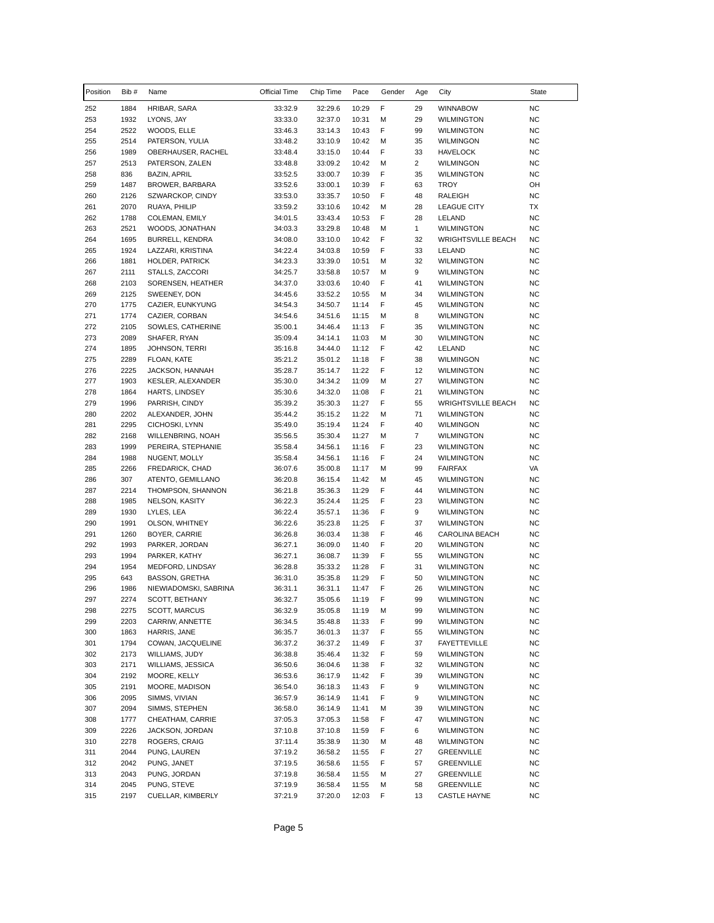| Position   | Bib#         | Name                                           | Official Time      | Chip Time          | Pace           | Gender | Age            | City                                     | State                  |
|------------|--------------|------------------------------------------------|--------------------|--------------------|----------------|--------|----------------|------------------------------------------|------------------------|
| 252        | 1884         | HRIBAR, SARA                                   | 33:32.9            | 32:29.6            | 10:29          | F      | 29             | <b>WINNABOW</b>                          | NC                     |
| 253        | 1932         | LYONS, JAY                                     | 33:33.0            | 32:37.0            | 10:31          | M      | 29             | <b>WILMINGTON</b>                        | <b>NC</b>              |
| 254        | 2522         | WOODS, ELLE                                    | 33:46.3            | 33:14.3            | 10:43          | F      | 99             | <b>WILMINGTON</b>                        | <b>NC</b>              |
| 255        | 2514         | PATERSON, YULIA                                | 33:48.2            | 33:10.9            | 10:42          | M      | 35             | WILMINGON                                | <b>NC</b>              |
| 256        | 1989         | OBERHAUSER, RACHEL                             | 33:48.4            | 33:15.0            | 10:44          | F      | 33             | <b>HAVELOCK</b>                          | <b>NC</b>              |
| 257        | 2513         | PATERSON, ZALEN                                | 33:48.8            | 33:09.2            | 10:42          | M      | $\overline{2}$ | <b>WILMINGON</b>                         | <b>NC</b>              |
| 258        | 836          | <b>BAZIN, APRIL</b>                            | 33:52.5            | 33:00.7            | 10:39          | F      | 35             | <b>WILMINGTON</b>                        | <b>NC</b>              |
| 259        | 1487         | BROWER, BARBARA                                | 33:52.6            | 33:00.1            | 10:39          | F      | 63             | <b>TROY</b>                              | OH                     |
| 260        | 2126         | SZWARCKOP, CINDY                               | 33:53.0            | 33:35.7            | 10:50          | F      | 48             | RALEIGH                                  | <b>NC</b>              |
| 261        | 2070         | RUAYA, PHILIP                                  | 33:59.2            | 33:10.6            | 10:42          | M      | 28             | <b>LEAGUE CITY</b>                       | ТX                     |
| 262        | 1788         | COLEMAN, EMILY                                 | 34:01.5            | 33:43.4            | 10:53          | F      | 28             | LELAND                                   | <b>NC</b>              |
| 263        | 2521         | WOODS, JONATHAN                                | 34:03.3            | 33:29.8            | 10:48          | M      | $\mathbf{1}$   | <b>WILMINGTON</b>                        | <b>NC</b>              |
| 264        | 1695         | <b>BURRELL, KENDRA</b>                         | 34:08.0            | 33:10.0            | 10:42          | F      | 32             | <b>WRIGHTSVILLE BEACH</b>                | <b>NC</b>              |
| 265        | 1924         | LAZZARI, KRISTINA                              | 34:22.4            | 34:03.8            | 10:59          | F      | 33             | LELAND                                   | <b>NC</b>              |
| 266        | 1881         | HOLDER, PATRICK                                | 34:23.3            | 33:39.0            | 10:51          | M      | 32             | <b>WILMINGTON</b>                        | <b>NC</b>              |
| 267        | 2111         | STALLS, ZACCORI                                | 34:25.7            | 33:58.8            | 10:57          | М      | 9              | <b>WILMINGTON</b>                        | <b>NC</b>              |
| 268        | 2103         | SORENSEN, HEATHER                              | 34:37.0            | 33:03.6            | 10:40          | F      | 41             | <b>WILMINGTON</b>                        | NC                     |
| 269        | 2125         | SWEENEY, DON                                   | 34:45.6            | 33:52.2            | 10:55          | M      | 34             | <b>WILMINGTON</b>                        | <b>NC</b>              |
| 270        | 1775         | CAZIER, EUNKYUNG                               | 34:54.3            | 34:50.7            | 11:14          | F      | 45             | <b>WILMINGTON</b>                        | <b>NC</b>              |
| 271        | 1774         | CAZIER, CORBAN                                 | 34:54.6            | 34:51.6            | 11:15          | М      | 8              | <b>WILMINGTON</b>                        | <b>NC</b>              |
| 272        | 2105         | SOWLES, CATHERINE                              | 35:00.1            | 34:46.4            | 11:13          | F      | 35             | <b>WILMINGTON</b>                        | <b>NC</b>              |
| 273        | 2089         | SHAFER, RYAN                                   | 35:09.4            | 34:14.1            | 11:03          | M      | 30             | <b>WILMINGTON</b>                        | <b>NC</b>              |
| 274        | 1895         | <b>JOHNSON, TERRI</b>                          | 35:16.8            | 34:44.0            | 11:12          | F      | 42             | LELAND                                   | <b>NC</b>              |
| 275        | 2289         | FLOAN, KATE                                    | 35:21.2            | 35:01.2            | 11:18          | F      | 38             | <b>WILMINGON</b>                         | NC                     |
| 276        | 2225         | JACKSON, HANNAH                                | 35:28.7            | 35:14.7            | 11:22          | F      | 12             | <b>WILMINGTON</b>                        | <b>NC</b>              |
| 277        | 1903         | KESLER, ALEXANDER                              | 35:30.0            | 34:34.2            | 11:09          | M      | 27             | <b>WILMINGTON</b>                        | <b>NC</b>              |
| 278        | 1864         | HARTS, LINDSEY                                 | 35:30.6            | 34:32.0            | 11:08          | F      | 21             | <b>WILMINGTON</b>                        | <b>NC</b>              |
| 279        | 1996         | PARRISH, CINDY                                 | 35:39.2            | 35:30.3            | 11:27          | F      | 55             | <b>WRIGHTSVILLE BEACH</b>                | ΝC                     |
| 280        | 2202         | ALEXANDER, JOHN                                | 35:44.2            | 35:15.2            | 11:22          | M      | 71             | <b>WILMINGTON</b>                        | <b>NC</b>              |
| 281        | 2295         | CICHOSKI, LYNN                                 | 35:49.0            | 35:19.4            | 11:24          | F      | 40             | <b>WILMINGON</b>                         | <b>NC</b>              |
| 282        | 2168         | WILLENBRING, NOAH                              | 35:56.5            | 35:30.4            | 11:27          | M      | $\overline{7}$ | <b>WILMINGTON</b>                        | <b>NC</b>              |
| 283        | 1999         | PEREIRA, STEPHANIE                             | 35:58.4            | 34:56.1            | 11:16          | F      | 23             | <b>WILMINGTON</b>                        | <b>NC</b>              |
| 284        | 1988         | NUGENT, MOLLY                                  | 35:58.4            | 34:56.1            | 11:16          | F      | 24             | <b>WILMINGTON</b>                        | NC                     |
| 285        | 2266         | FREDARICK, CHAD                                | 36:07.6            | 35:00.8            | 11:17          | M      | 99             | <b>FAIRFAX</b>                           | VA                     |
| 286        | 307          | ATENTO, GEMILLANO                              | 36:20.8            | 36:15.4            | 11:42          | M      | 45             | <b>WILMINGTON</b>                        | ΝC                     |
| 287        | 2214         | THOMPSON, SHANNON                              | 36:21.8            | 35:36.3            | 11:29          | F      | 44             | <b>WILMINGTON</b>                        | <b>NC</b>              |
| 288        | 1985         | NELSON, KASITY                                 | 36:22.3            | 35:24.4            | 11:25          | F      | 23             | <b>WILMINGTON</b>                        | <b>NC</b>              |
| 289        | 1930         | LYLES, LEA                                     | 36:22.4            | 35:57.1            | 11:36          | F      | 9              | <b>WILMINGTON</b>                        | NC                     |
| 290        | 1991         | OLSON, WHITNEY                                 | 36:22.6            | 35:23.8            | 11:25          | F      | 37             | <b>WILMINGTON</b>                        | <b>NC</b>              |
| 291        | 1260         | BOYER, CARRIE                                  | 36:26.8            | 36:03.4            | 11:38          | F      | 46             | <b>CAROLINA BEACH</b>                    | <b>NC</b>              |
| 292        | 1993         | PARKER, JORDAN                                 | 36:27.1            | 36:09.0            | 11:40          | F      | 20             | <b>WILMINGTON</b>                        | ΝC                     |
| 293        | 1994         | PARKER, KATHY                                  | 36:27.1            | 36:08.7            | 11:39          | F      | 55             | <b>WILMINGTON</b>                        | ΝC                     |
| 294        | 1954         | MEDFORD, LINDSAY                               | 36:28.8            | 35:33.2            | 11:28          | F<br>F | 31             | <b>WILMINGTON</b>                        | <b>NC</b>              |
| 295        | 643          | <b>BASSON, GRETHA</b><br>NIEWIADOMSKI, SABRINA | 36:31.0            | 35:35.8            | 11:29          | F      | 50             | <b>WILMINGTON</b>                        | <b>NC</b>              |
| 296        | 1986<br>2274 |                                                | 36:31.1            | 36:31.1            | 11:47<br>11:19 | F      | 26<br>99       | <b>WILMINGTON</b>                        | <b>NC</b><br><b>NC</b> |
| 297        |              | SCOTT, BETHANY                                 | 36:32.7<br>36:32.9 | 35:05.6            |                |        |                | <b>WILMINGTON</b>                        |                        |
| 298        | 2275         | SCOTT, MARCUS                                  |                    | 35:05.8            | 11:19          | М<br>F | 99             | <b>WILMINGTON</b>                        | NC<br><b>NC</b>        |
| 299        | 2203         | CARRIW, ANNETTE                                | 36:34.5            | 35:48.8            | 11:33          |        | 99             | <b>WILMINGTON</b>                        |                        |
| 300        | 1863         | HARRIS, JANE                                   | 36:35.7            | 36:01.3            | 11:37          | F      | 55             | <b>WILMINGTON</b><br><b>FAYETTEVILLE</b> | NC                     |
| 301<br>302 | 1794<br>2173 | COWAN, JACQUELINE                              | 36:37.2            | 36:37.2            | 11:49          | F<br>F | 37             | <b>WILMINGTON</b>                        | NC<br>NC               |
| 303        | 2171         | WILLIAMS, JUDY                                 | 36:38.8            | 35:46.4            | 11:32          | F      | 59<br>32       |                                          | <b>NC</b>              |
|            |              | WILLIAMS, JESSICA<br>MOORE, KELLY              | 36:50.6            | 36:04.6            | 11:38          | F      |                | <b>WILMINGTON</b>                        | <b>NC</b>              |
| 304        | 2192<br>2191 | MOORE, MADISON                                 | 36:53.6            | 36:17.9<br>36:18.3 | 11:42          | F      | 39<br>9        | <b>WILMINGTON</b><br><b>WILMINGTON</b>   | <b>NC</b>              |
| 305<br>306 | 2095         | SIMMS, VIVIAN                                  | 36:54.0<br>36:57.9 | 36:14.9            | 11:43<br>11:41 | F      | 9              | <b>WILMINGTON</b>                        | NC                     |
| 307        | 2094         | SIMMS, STEPHEN                                 | 36:58.0            | 36:14.9            | 11:41          | М      | 39             | <b>WILMINGTON</b>                        | NC                     |
| 308        | 1777         | CHEATHAM, CARRIE                               | 37:05.3            | 37:05.3            | 11:58          | F      | 47             | <b>WILMINGTON</b>                        | NC                     |
| 309        | 2226         | JACKSON, JORDAN                                | 37:10.8            | 37:10.8            | 11:59          | F      | 6              | <b>WILMINGTON</b>                        | NC                     |
| 310        | 2278         | ROGERS, CRAIG                                  | 37:11.4            | 35:38.9            | 11:30          | М      | 48             | <b>WILMINGTON</b>                        | NC                     |
| 311        | 2044         | PUNG, LAUREN                                   | 37:19.2            | 36:58.2            | 11:55          | F      | 27             | <b>GREENVILLE</b>                        | NC                     |
| 312        | 2042         | PUNG, JANET                                    | 37:19.5            | 36:58.6            | 11:55          | F      | 57             | <b>GREENVILLE</b>                        | <b>NC</b>              |
| 313        | 2043         | PUNG, JORDAN                                   | 37:19.8            | 36:58.4            | 11:55          | М      | 27             | <b>GREENVILLE</b>                        | <b>NC</b>              |
| 314        | 2045         | PUNG, STEVE                                    | 37:19.9            | 36:58.4            | 11:55          | М      | 58             | <b>GREENVILLE</b>                        | <b>NC</b>              |
| 315        | 2197         | CUELLAR, KIMBERLY                              | 37:21.9            | 37:20.0            | 12:03          | F      | 13             | <b>CASTLE HAYNE</b>                      | <b>NC</b>              |
|            |              |                                                |                    |                    |                |        |                |                                          |                        |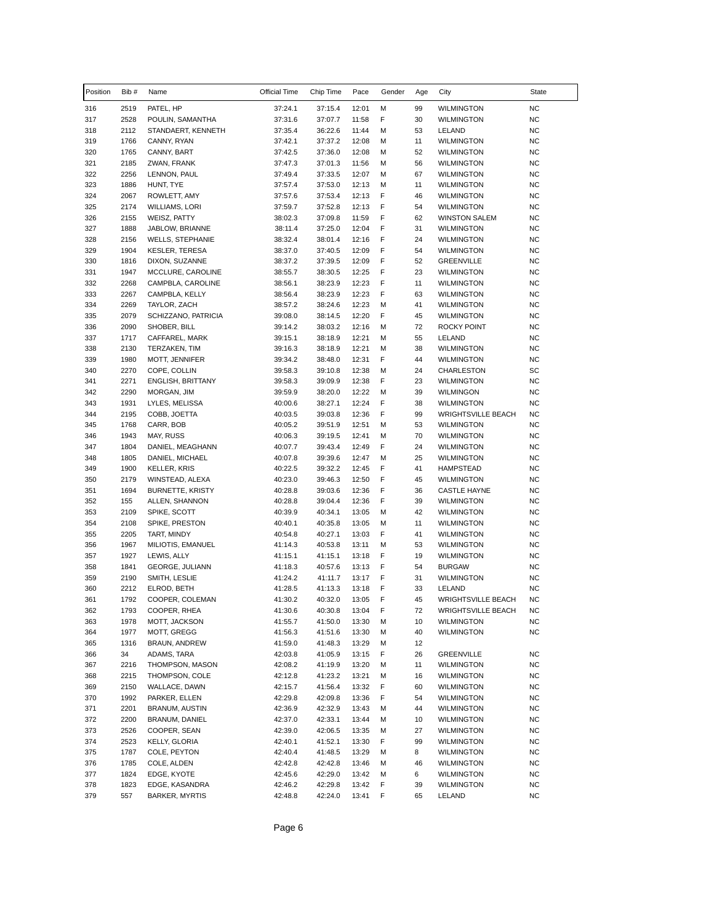| Position   | Bib#         | Name                                    | Official Time      | Chip Time          | Pace           | Gender | Age      | City                                   | State                  |
|------------|--------------|-----------------------------------------|--------------------|--------------------|----------------|--------|----------|----------------------------------------|------------------------|
| 316        | 2519         | PATEL, HP                               | 37:24.1            | 37:15.4            | 12:01          | М      | 99       | <b>WILMINGTON</b>                      | <b>NC</b>              |
| 317        | 2528         | POULIN, SAMANTHA                        | 37:31.6            | 37:07.7            | 11:58          | F      | 30       | <b>WILMINGTON</b>                      | <b>NC</b>              |
| 318        | 2112         | STANDAERT, KENNETH                      | 37:35.4            | 36:22.6            | 11:44          | М      | 53       | LELAND                                 | <b>NC</b>              |
| 319        | 1766         | CANNY, RYAN                             | 37:42.1            | 37:37.2            | 12:08          | М      | 11       | <b>WILMINGTON</b>                      | <b>NC</b>              |
| 320        | 1765         | CANNY, BART                             | 37:42.5            | 37:36.0            | 12:08          | м      | 52       | <b>WILMINGTON</b>                      | ΝC                     |
| 321        | 2185         | ZWAN, FRANK                             | 37:47.3            | 37:01.3            | 11:56          | М      | 56       | <b>WILMINGTON</b>                      | <b>NC</b>              |
| 322        | 2256<br>1886 | LENNON, PAUL                            | 37:49.4            | 37:33.5            | 12:07          | М      | 67<br>11 | <b>WILMINGTON</b>                      | <b>NC</b><br><b>NC</b> |
| 323<br>324 | 2067         | HUNT, TYE<br>ROWLETT, AMY               | 37:57.4<br>37:57.6 | 37:53.0<br>37:53.4 | 12:13<br>12:13 | М<br>F | 46       | <b>WILMINGTON</b><br><b>WILMINGTON</b> | <b>NC</b>              |
| 325        | 2174         | WILLIAMS, LORI                          | 37:59.7            | 37:52.8            | 12:13          | F      | 54       | <b>WILMINGTON</b>                      | <b>NC</b>              |
| 326        | 2155         | WEISZ, PATTY                            | 38:02.3            | 37:09.8            | 11:59          | F      | 62       | <b>WINSTON SALEM</b>                   | <b>NC</b>              |
| 327        | 1888         | JABLOW, BRIANNE                         | 38:11.4            | 37:25.0            | 12:04          | F      | 31       | <b>WILMINGTON</b>                      | NC                     |
| 328        | 2156         | <b>WELLS, STEPHANIE</b>                 | 38:32.4            | 38:01.4            | 12:16          | F      | 24       | <b>WILMINGTON</b>                      | <b>NC</b>              |
| 329        | 1904         | <b>KESLER, TERESA</b>                   | 38:37.0            | 37:40.5            | 12:09          | F      | 54       | <b>WILMINGTON</b>                      | <b>NC</b>              |
| 330        | 1816         | DIXON, SUZANNE                          | 38:37.2            | 37:39.5            | 12:09          | F      | 52       | <b>GREENVILLE</b>                      | <b>NC</b>              |
| 331        | 1947         | MCCLURE, CAROLINE                       | 38:55.7            | 38:30.5            | 12:25          | F      | 23       | <b>WILMINGTON</b>                      | <b>NC</b>              |
| 332        | 2268         | CAMPBLA, CAROLINE                       | 38:56.1            | 38:23.9            | 12:23          | F      | 11       | <b>WILMINGTON</b>                      | <b>NC</b>              |
| 333        | 2267         | CAMPBLA, KELLY                          | 38:56.4            | 38:23.9            | 12:23          | F      | 63       | <b>WILMINGTON</b>                      | <b>NC</b>              |
| 334        | 2269         | TAYLOR, ZACH                            | 38:57.2            | 38:24.6            | 12:23          | M      | 41       | <b>WILMINGTON</b>                      | <b>NC</b>              |
| 335        | 2079         | SCHIZZANO, PATRICIA                     | 39:08.0            | 38:14.5            | 12:20          | F      | 45       | <b>WILMINGTON</b>                      | NC                     |
| 336        | 2090         | SHOBER, BILL                            | 39:14.2            | 38:03.2            | 12:16          | м      | 72       | <b>ROCKY POINT</b>                     | NC                     |
| 337        | 1717         | CAFFAREL, MARK                          | 39:15.1            | 38:18.9            | 12:21          | M      | 55       | LELAND                                 | <b>NC</b>              |
| 338        | 2130         | TERZAKEN, TIM                           | 39:16.3            | 38:18.9            | 12:21          | M<br>F | 38       | <b>WILMINGTON</b>                      | <b>NC</b>              |
| 339<br>340 | 1980<br>2270 | MOTT, JENNIFER<br>COPE, COLLIN          | 39:34.2<br>39:58.3 | 38:48.0<br>39:10.8 | 12:31<br>12:38 | М      | 44<br>24 | <b>WILMINGTON</b><br><b>CHARLESTON</b> | <b>NC</b><br>SC        |
| 341        | 2271         | ENGLISH, BRITTANY                       | 39:58.3            | 39:09.9            | 12:38          | F      | 23       | <b>WILMINGTON</b>                      | <b>NC</b>              |
| 342        | 2290         | MORGAN, JIM                             | 39:59.9            | 38:20.0            | 12:22          | M      | 39       | <b>WILMINGON</b>                       | NC                     |
| 343        | 1931         | LYLES, MELISSA                          | 40:00.6            | 38:27.1            | 12:24          | F      | 38       | <b>WILMINGTON</b>                      | <b>NC</b>              |
| 344        | 2195         | COBB, JOETTA                            | 40:03.5            | 39:03.8            | 12:36          | F      | 99       | <b>WRIGHTSVILLE BEACH</b>              | NC                     |
| 345        | 1768         | CARR, BOB                               | 40:05.2            | 39:51.9            | 12:51          | м      | 53       | <b>WILMINGTON</b>                      | NC                     |
| 346        | 1943         | MAY, RUSS                               | 40:06.3            | 39:19.5            | 12:41          | M      | 70       | <b>WILMINGTON</b>                      | <b>NC</b>              |
| 347        | 1804         | DANIEL, MEAGHANN                        | 40:07.7            | 39:43.4            | 12:49          | F      | 24       | <b>WILMINGTON</b>                      | <b>NC</b>              |
| 348        | 1805         | DANIEL, MICHAEL                         | 40:07.8            | 39:39.6            | 12:47          | М      | 25       | <b>WILMINGTON</b>                      | <b>NC</b>              |
| 349        | 1900         | KELLER, KRIS                            | 40:22.5            | 39:32.2            | 12:45          | F      | 41       | <b>HAMPSTEAD</b>                       | NC                     |
| 350        | 2179         | WINSTEAD, ALEXA                         | 40:23.0            | 39:46.3            | 12:50          | F      | 45       | <b>WILMINGTON</b>                      | <b>NC</b>              |
| 351        | 1694         | <b>BURNETTE, KRISTY</b>                 | 40:28.8            | 39:03.6            | 12:36          | F      | 36       | <b>CASTLE HAYNE</b>                    | <b>NC</b>              |
| 352        | 155          | ALLEN, SHANNON                          | 40:28.8            | 39:04.4            | 12:36          | F      | 39       | <b>WILMINGTON</b>                      | NC                     |
| 353        | 2109         | SPIKE, SCOTT                            | 40:39.9            | 40:34.1            | 13:05          | М      | 42       | <b>WILMINGTON</b>                      | NC                     |
| 354        | 2108         | SPIKE, PRESTON                          | 40:40.1            | 40:35.8            | 13:05          | М      | 11       | <b>WILMINGTON</b>                      | <b>NC</b>              |
| 355<br>356 | 2205<br>1967 | TART, MINDY                             | 40:54.8            | 40:27.1<br>40:53.8 | 13:03          | F<br>М | 41       | <b>WILMINGTON</b><br><b>WILMINGTON</b> | <b>NC</b><br><b>NC</b> |
| 357        | 1927         | MILIOTIS, EMANUEL<br>LEWIS, ALLY        | 41:14.3<br>41:15.1 | 41:15.1            | 13:11<br>13:18 | F      | 53<br>19 | <b>WILMINGTON</b>                      | NC                     |
| 358        | 1841         | GEORGE, JULIANN                         | 41:18.3            | 40:57.6            | 13:13          | F      | 54       | <b>BURGAW</b>                          | NC                     |
| 359        | 2190         | SMITH, LESLIE                           | 41:24.2            | 41:11.7            | 13:17          | F      | 31       | <b>WILMINGTON</b>                      | <b>NC</b>              |
| 360        | 2212         | ELROD, BETH                             | 41:28.5            | 41:13.3            | 13:18          | F      | 33       | LELAND                                 | <b>NC</b>              |
| 361        | 1792         | COOPER, COLEMAN                         | 41:30.2            | 40:32.0            | 13:05          | F      | 45       | <b>WRIGHTSVILLE BEACH</b>              | NC                     |
| 362        | 1793         | COOPER, RHEA                            | 41:30.6            | 40:30.8            | 13:04          | F      | 72       | <b>WRIGHTSVILLE BEACH</b>              | NC                     |
| 363        | 1978         | MOTT, JACKSON                           | 41:55.7            | 41:50.0            | 13:30          | М      | 10       | <b>WILMINGTON</b>                      | NC                     |
| 364        | 1977         | MOTT, GREGG                             | 41:56.3            | 41:51.6            | 13:30          | м      | 40       | <b>WILMINGTON</b>                      | <b>NC</b>              |
| 365        | 1316         | <b>BRAUN, ANDREW</b>                    | 41:59.0            | 41:48.3            | 13:29          | м      | 12       |                                        |                        |
| 366        | 34           | ADAMS, TARA                             | 42:03.8            | 41:05.9            | 13:15          | F      | 26       | <b>GREENVILLE</b>                      | NC                     |
| 367        | 2216         | THOMPSON, MASON                         | 42:08.2            | 41:19.9            | 13:20          | М      | 11       | <b>WILMINGTON</b>                      | <b>NC</b>              |
| 368        | 2215         | THOMPSON, COLE                          | 42:12.8            | 41:23.2            | 13:21          | М      | 16       | <b>WILMINGTON</b>                      | NC                     |
| 369        | 2150         | WALLACE, DAWN                           | 42:15.7            | 41:56.4            | 13:32          | F      | 60       | <b>WILMINGTON</b>                      | NC                     |
| 370        | 1992         | PARKER, ELLEN                           | 42:29.8            | 42:09.8            | 13:36          | F      | 54       | <b>WILMINGTON</b>                      | NC                     |
| 371        | 2201<br>2200 | <b>BRANUM, AUSTIN</b><br>BRANUM, DANIEL | 42:36.9            | 42:32.9<br>42:33.1 | 13:43          | М<br>М | 44       | <b>WILMINGTON</b><br><b>WILMINGTON</b> | NC<br>NC               |
| 372<br>373 | 2526         | COOPER, SEAN                            | 42:37.0<br>42:39.0 | 42:06.5            | 13:44<br>13:35 | М      | 10<br>27 | <b>WILMINGTON</b>                      | NC                     |
| 374        | 2523         | KELLY, GLORIA                           | 42:40.1            | 41:52.1            | 13:30          | F      | 99       | <b>WILMINGTON</b>                      | NC                     |
| 375        | 1787         | COLE, PEYTON                            | 42:40.4            | 41:48.5            | 13:29          | М      | 8        | <b>WILMINGTON</b>                      | NC                     |
| 376        | 1785         | COLE, ALDEN                             | 42:42.8            | 42:42.8            | 13:46          | М      | 46       | <b>WILMINGTON</b>                      | NC                     |
| 377        | 1824         | EDGE, KYOTE                             | 42:45.6            | 42:29.0            | 13:42          | М      | 6        | <b>WILMINGTON</b>                      | NC                     |
| 378        | 1823         | EDGE, KASANDRA                          | 42:46.2            | 42:29.8            | 13:42          | F      | 39       | <b>WILMINGTON</b>                      | NC                     |
| 379        | 557          | <b>BARKER, MYRTIS</b>                   | 42:48.8            | 42:24.0            | 13:41          | F      | 65       | LELAND                                 | <b>NC</b>              |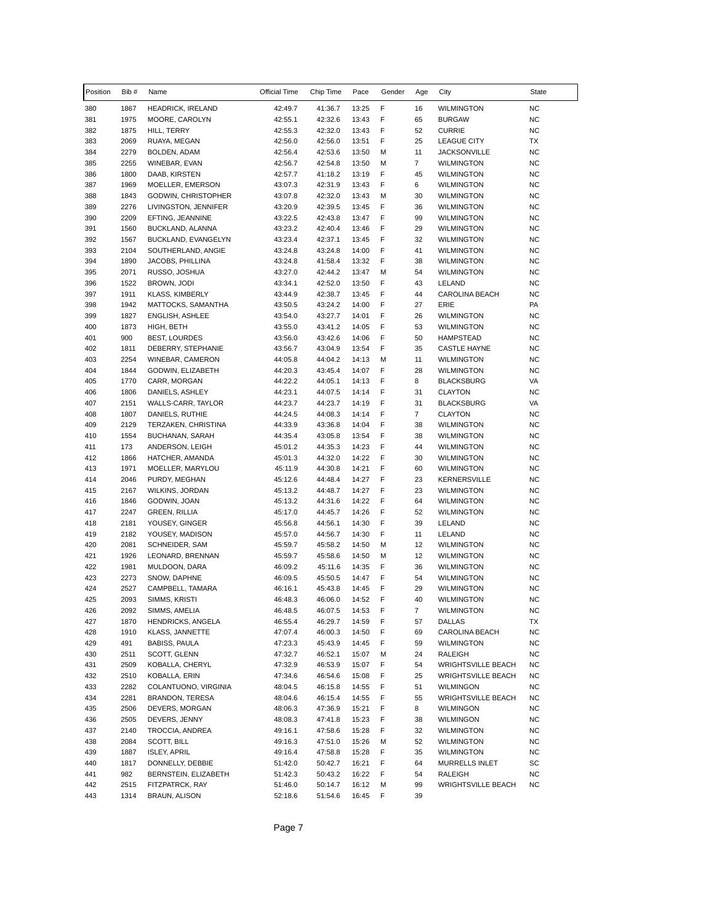| Position   | Bib#         | Name                                   | Official Time      | Chip Time          | Pace           | Gender | Age            | City                                   | State                  |
|------------|--------------|----------------------------------------|--------------------|--------------------|----------------|--------|----------------|----------------------------------------|------------------------|
| 380        | 1867         | <b>HEADRICK, IRELAND</b>               | 42:49.7            | 41:36.7            | 13:25          | F      | 16             | <b>WILMINGTON</b>                      | <b>NC</b>              |
| 381        | 1975         | MOORE, CAROLYN                         | 42:55.1            | 42:32.6            | 13:43          | F      | 65             | <b>BURGAW</b>                          | <b>NC</b>              |
| 382        | 1875         | HILL, TERRY                            | 42:55.3            | 42:32.0            | 13:43          | F      | 52             | <b>CURRIE</b>                          | <b>NC</b>              |
| 383        | 2069         | RUAYA, MEGAN                           | 42:56.0            | 42:56.0            | 13:51          | F      | 25             | <b>LEAGUE CITY</b>                     | ТX                     |
| 384        | 2279         | BOLDEN, ADAM                           | 42:56.4            | 42:53.6            | 13:50          | М      | 11             | <b>JACKSONVILLE</b>                    | <b>NC</b>              |
| 385        | 2255         | WINEBAR, EVAN                          | 42:56.7            | 42:54.8            | 13:50          | M      | 7              | <b>WILMINGTON</b>                      | <b>NC</b>              |
| 386        | 1800         | DAAB, KIRSTEN                          | 42:57.7            | 41:18.2            | 13:19          | F      | 45             | <b>WILMINGTON</b>                      | <b>NC</b>              |
| 387        | 1969         | MOELLER, EMERSON                       | 43:07.3            | 42:31.9            | 13:43          | F      | 6              | <b>WILMINGTON</b>                      | <b>NC</b>              |
| 388        | 1843         | GODWIN, CHRISTOPHER                    | 43:07.8            | 42:32.0            | 13:43          | M      | 30             | <b>WILMINGTON</b>                      | <b>NC</b>              |
| 389        | 2276         | LIVINGSTON, JENNIFER                   | 43:20.9            | 42:39.5            | 13:45          | F      | 36             | <b>WILMINGTON</b>                      | <b>NC</b>              |
| 390        | 2209         | EFTING, JEANNINE                       | 43:22.5            | 42:43.8            | 13:47          | F      | 99             | <b>WILMINGTON</b>                      | <b>NC</b>              |
| 391        | 1560         | BUCKLAND, ALANNA                       | 43:23.2            | 42:40.4            | 13:46          | F      | 29             | <b>WILMINGTON</b>                      | NC                     |
| 392        | 1567         | BUCKLAND, EVANGELYN                    | 43:23.4            | 42:37.1            | 13:45          | F<br>F | 32<br>41       | <b>WILMINGTON</b>                      | <b>NC</b>              |
| 393<br>394 | 2104<br>1890 | SOUTHERLAND, ANGIE<br>JACOBS, PHILLINA | 43:24.8<br>43:24.8 | 43:24.8<br>41:58.4 | 14:00          | F      | 38             | <b>WILMINGTON</b><br><b>WILMINGTON</b> | <b>NC</b><br><b>NC</b> |
| 395        | 2071         | RUSSO, JOSHUA                          | 43:27.0            | 42:44.2            | 13:32<br>13:47 | M      | 54             | <b>WILMINGTON</b>                      | <b>NC</b>              |
| 396        | 1522         | BROWN, JODI                            | 43:34.1            | 42:52.0            | 13:50          | F      | 43             | LELAND                                 | <b>NC</b>              |
| 397        | 1911         | <b>KLASS, KIMBERLY</b>                 | 43:44.9            | 42:38.7            | 13:45          | F      | 44             | CAROLINA BEACH                         | <b>NC</b>              |
| 398        | 1942         | MATTOCKS, SAMANTHA                     | 43:50.5            | 43:24.2            | 14:00          | F      | 27             | ERIE                                   | PA                     |
| 399        | 1827         | ENGLISH, ASHLEE                        | 43:54.0            | 43:27.7            | 14:01          | F      | 26             | <b>WILMINGTON</b>                      | ΝC                     |
| 400        | 1873         | HIGH, BETH                             | 43:55.0            | 43:41.2            | 14:05          | F      | 53             | <b>WILMINGTON</b>                      | NC                     |
| 401        | 900          | <b>BEST, LOURDES</b>                   | 43:56.0            | 43:42.6            | 14:06          | F      | 50             | <b>HAMPSTEAD</b>                       | <b>NC</b>              |
| 402        | 1811         | DEBERRY, STEPHANIE                     | 43:56.7            | 43:04.9            | 13:54          | F      | 35             | <b>CASTLE HAYNE</b>                    | <b>NC</b>              |
| 403        | 2254         | WINEBAR, CAMERON                       | 44:05.8            | 44:04.2            | 14:13          | М      | 11             | <b>WILMINGTON</b>                      | <b>NC</b>              |
| 404        | 1844         | GODWIN, ELIZABETH                      | 44:20.3            | 43:45.4            | 14:07          | F      | 28             | <b>WILMINGTON</b>                      | <b>NC</b>              |
| 405        | 1770         | CARR, MORGAN                           | 44:22.2            | 44:05.1            | 14:13          | F      | 8              | <b>BLACKSBURG</b>                      | VA                     |
| 406        | 1806         | DANIELS, ASHLEY                        | 44:23.1            | 44:07.5            | 14:14          | F      | 31             | <b>CLAYTON</b>                         | <b>NC</b>              |
| 407        | 2151         | WALLS-CARR, TAYLOR                     | 44:23.7            | 44:23.7            | 14:19          | F      | 31             | <b>BLACKSBURG</b>                      | VA                     |
| 408        | 1807         | DANIELS, RUTHIE                        | 44:24.5            | 44:08.3            | 14:14          | F      | $\overline{7}$ | <b>CLAYTON</b>                         | ΝC                     |
| 409        | 2129         | TERZAKEN, CHRISTINA                    | 44:33.9            | 43:36.8            | 14:04          | F      | 38             | <b>WILMINGTON</b>                      | NC                     |
| 410        | 1554         | BUCHANAN, SARAH                        | 44:35.4            | 43:05.8            | 13:54          | F      | 38             | <b>WILMINGTON</b>                      | <b>NC</b>              |
| 411        | 173          | ANDERSON, LEIGH                        | 45:01.2            | 44:35.3            | 14:23          | F      | 44             | <b>WILMINGTON</b>                      | <b>NC</b>              |
| 412        | 1866         | HATCHER, AMANDA                        | 45:01.3            | 44:32.0            | 14:22          | F      | 30             | <b>WILMINGTON</b>                      | <b>NC</b>              |
| 413        | 1971         | MOELLER, MARYLOU                       | 45:11.9            | 44:30.8            | 14:21          | F      | 60             | <b>WILMINGTON</b>                      | ΝC                     |
| 414        | 2046         | PURDY, MEGHAN                          | 45:12.6            | 44:48.4            | 14:27          | F      | 23             | <b>KERNERSVILLE</b>                    | <b>NC</b>              |
| 415        | 2167         | WILKINS, JORDAN                        | 45:13.2            | 44:48.7            | 14:27          | F      | 23             | <b>WILMINGTON</b>                      | <b>NC</b>              |
| 416        | 1846         | GODWIN, JOAN                           | 45:13.2            | 44:31.6            | 14:22          | F      | 64             | <b>WILMINGTON</b>                      | ΝC                     |
| 417        | 2247         | <b>GREEN, RILLIA</b>                   | 45:17.0            | 44:45.7            | 14:26          | F      | 52             | <b>WILMINGTON</b>                      | ΝC                     |
| 418        | 2181         | YOUSEY, GINGER                         | 45:56.8            | 44:56.1            | 14:30          | F      | 39             | LELAND                                 | <b>NC</b>              |
| 419        | 2182         | YOUSEY, MADISON                        | 45:57.0            | 44:56.7            | 14:30          | F      | 11             | LELAND                                 | <b>NC</b>              |
| 420        | 2081         | SCHNEIDER, SAM                         | 45:59.7            | 45:58.2            | 14:50          | м      | 12             | <b>WILMINGTON</b>                      | <b>NC</b>              |
| 421        | 1926         | LEONARD, BRENNAN                       | 45:59.7<br>46:09.2 | 45:58.6            | 14:50          | М      | 12             | <b>WILMINGTON</b><br><b>WILMINGTON</b> | ΝC                     |
| 422<br>423 | 1981<br>2273 | MULDOON, DARA                          | 46:09.5            | 45:11.6<br>45:50.5 | 14:35<br>14:47 | F<br>F | 36<br>54       | <b>WILMINGTON</b>                      | ΝC<br><b>NC</b>        |
| 424        | 2527         | SNOW, DAPHNE<br>CAMPBELL, TAMARA       | 46:16.1            | 45:43.8            | 14:45          | F      | 29             | <b>WILMINGTON</b>                      | <b>NC</b>              |
| 425        | 2093         | SIMMS, KRISTI                          | 46:48.3            | 46:06.0            | 14:52          | F      | 40             | <b>WILMINGTON</b>                      | <b>NC</b>              |
| 426        | 2092         | SIMMS, AMELIA                          | 46:48.5            | 46:07.5            | 14:53          | F      | $\overline{7}$ | <b>WILMINGTON</b>                      | NC                     |
| 427        | 1870         | HENDRICKS, ANGELA                      | 46:55.4            | 46:29.7            | 14:59          | F      | 57             | <b>DALLAS</b>                          | TX                     |
| 428        | 1910         | KLASS, JANNETTE                        | 47:07.4            | 46:00.3            | 14:50          | F      | 69             | CAROLINA BEACH                         | <b>NC</b>              |
| 429        | 491          | BABISS, PAULA                          | 47:23.3            | 45:43.9            | 14:45          | F      | 59             | <b>WILMINGTON</b>                      | <b>NC</b>              |
| 430        | 2511         | SCOTT, GLENN                           | 47:32.7            | 46:52.1            | 15:07          | М      | 24             | RALEIGH                                | <b>NC</b>              |
| 431        | 2509         | KOBALLA, CHERYL                        | 47:32.9            | 46:53.9            | 15:07          | F      | 54             | <b>WRIGHTSVILLE BEACH</b>              | <b>NC</b>              |
| 432        | 2510         | KOBALLA, ERIN                          | 47:34.6            | 46:54.6            | 15:08          | F      | 25             | <b>WRIGHTSVILLE BEACH</b>              | ΝC                     |
| 433        | 2282         | COLANTUONO, VIRGINIA                   | 48:04.5            | 46:15.8            | 14:55          | F      | 51             | WILMINGON                              | <b>NC</b>              |
| 434        | 2281         | BRANDON, TERESA                        | 48:04.6            | 46:15.4            | 14:55          | F      | 55             | <b>WRIGHTSVILLE BEACH</b>              | ΝC                     |
| 435        | 2506         | DEVERS, MORGAN                         | 48:06.3            | 47:36.9            | 15:21          | F      | 8              | WILMINGON                              | <b>NC</b>              |
| 436        | 2505         | DEVERS, JENNY                          | 48:08.3            | 47:41.8            | 15:23          | F      | 38             | WILMINGON                              | NC                     |
| 437        | 2140         | TROCCIA, ANDREA                        | 49:16.1            | 47:58.6            | 15:28          | F      | 32             | <b>WILMINGTON</b>                      | NC                     |
| 438        | 2084         | SCOTT, BILL                            | 49:16.3            | 47:51.0            | 15:26          | М      | 52             | <b>WILMINGTON</b>                      | <b>NC</b>              |
| 439        | 1887         | <b>ISLEY, APRIL</b>                    | 49:16.4            | 47:58.8            | 15:28          | F      | 35             | <b>WILMINGTON</b>                      | <b>NC</b>              |
| 440        | 1817         | DONNELLY, DEBBIE                       | 51:42.0            | 50:42.7            | 16:21          | F      | 64             | MURRELLS INLET                         | SC                     |
| 441        | 982          | BERNSTEIN, ELIZABETH                   | 51:42.3            | 50:43.2            | 16:22          | F      | 54             | RALEIGH                                | ΝC                     |
| 442        | 2515         | FITZPATRCK, RAY                        | 51:46.0            | 50:14.7            | 16:12          | М      | 99             | <b>WRIGHTSVILLE BEACH</b>              | ΝC                     |
| 443        | 1314         | BRAUN, ALISON                          | 52:18.6            | 51:54.6            | 16:45          | F      | 39             |                                        |                        |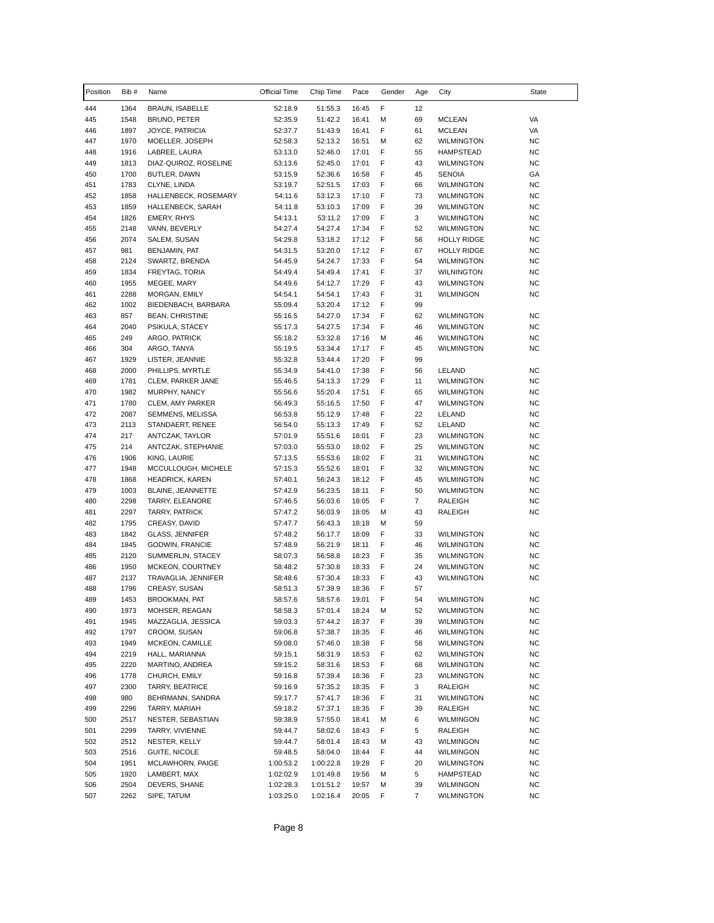| Position   | Bib #        | Name                                 | Official Time      | Chip Time          | Pace           | Gender | Age            | City                                   | State           |
|------------|--------------|--------------------------------------|--------------------|--------------------|----------------|--------|----------------|----------------------------------------|-----------------|
| 444        | 1364         | BRAUN, ISABELLE                      | 52:18.9            | 51:55.3            | 16:45          | F      | 12             |                                        |                 |
| 445        | 1548         | <b>BRUNO, PETER</b>                  | 52:35.9            | 51:42.2            | 16:41          | M      | 69             | <b>MCLEAN</b>                          | VA              |
| 446        | 1897         | JOYCE, PATRICIA                      | 52:37.7            | 51:43.9            | 16:41          | F      | 61             | <b>MCLEAN</b>                          | VA              |
| 447        | 1970         | MOELLER, JOSEPH                      | 52:58.3            | 52:13.2            | 16:51          | M      | 62             | <b>WILMINGTON</b>                      | <b>NC</b>       |
| 448        | 1916         | LABREE, LAURA                        | 53:13.0            | 52:46.0            | 17:01          | F      | 55             | <b>HAMPSTEAD</b>                       | <b>NC</b>       |
| 449        | 1813         | DIAZ-QUIROZ, ROSELINE                | 53:13.6            | 52:45.0            | 17:01          | F      | 43             | <b>WILMINGTON</b>                      | <b>NC</b>       |
| 450        | 1700         | BUTLER, DAWN                         | 53:15.9            | 52:36.6            | 16:58          | F      | 45             | <b>SENOIA</b>                          | GA              |
| 451        | 1783         | CLYNE, LINDA                         | 53:19.7            | 52:51.5            | 17:03          | F      | 66             | <b>WILMINGTON</b>                      | <b>NC</b>       |
| 452        | 1858         | HALLENBECK, ROSEMARY                 | 54:11.6            | 53:12.3            | 17:10          | F      | 73             | <b>WILMINGTON</b>                      | <b>NC</b>       |
| 453        | 1859         | HALLENBECK, SARAH                    | 54:11.8            | 53:10.3            | 17:09          | F      | 39             | <b>WILMINGTON</b>                      | <b>NC</b>       |
| 454        | 1826         | <b>EMERY, RHYS</b>                   | 54:13.1            | 53:11.2            | 17:09          | F      | 3              | <b>WILMINGTON</b>                      | <b>NC</b>       |
| 455        | 2148         | VANN, BEVERLY                        | 54:27.4            | 54:27.4            | 17:34          | F      | 52             | <b>WILMINGTON</b>                      | <b>NC</b>       |
| 456        | 2074         | SALEM, SUSAN                         | 54:29.8            | 53:18.2            | 17:12          | F      | 58             | <b>HOLLY RIDGE</b>                     | NC              |
| 457        | 981          | BENJAMIN, PAT                        | 54:31.5            | 53:20.0            | 17:12          | F      | 67             | <b>HOLLY RIDGE</b>                     | <b>NC</b>       |
| 458        | 2124         | SWARTZ, BRENDA                       | 54:45.9            | 54:24.7            | 17:33          | F      | 54             | <b>WILMINGTON</b>                      | <b>NC</b>       |
| 459        | 1834         | FREYTAG, TORIA                       | 54:49.4            | 54:49.4            | 17:41          | F      | 37             | <b>WILNINGTON</b>                      | <b>NC</b>       |
| 460        | 1955         | MEGEE, MARY                          | 54:49.6            | 54:12.7            | 17:29          | F      | 43             | <b>WILMINGTON</b>                      | NC              |
| 461        | 2288         | MORGAN, EMILY                        | 54:54.1            | 54:54.1            | 17:43          | F      | 31             | <b>WILMINGON</b>                       | <b>NC</b>       |
| 462        | 1002         | BIEDENBACH, BARBARA                  | 55:09.4            | 53:20.4            | 17:12          | F      | 99             |                                        |                 |
| 463        | 857<br>2040  | <b>BEAN, CHRISTINE</b>               | 55:16.5            | 54:27.0<br>54:27.5 | 17:34          | F<br>F | 62<br>46       | <b>WILMINGTON</b>                      | NC              |
| 464<br>465 | 249          | PSIKULA, STACEY<br>ARGO, PATRICK     | 55:17.3<br>55:18.2 | 53:32.8            | 17:34<br>17:16 | M      | 46             | <b>WILMINGTON</b><br><b>WILMINGTON</b> | NC<br><b>NC</b> |
| 466        | 304          | ARGO, TANYA                          | 55:19.5            | 53:34.4            | 17:17          | F      | 45             | <b>WILMINGTON</b>                      | <b>NC</b>       |
| 467        | 1929         | LISTER, JEANNIE                      | 55:32.8            | 53:44.4            | 17:20          | F      | 99             |                                        |                 |
| 468        | 2000         | PHILLIPS, MYRTLE                     | 55:34.9            | 54:41.0            | 17:38          | F      | 56             | LELAND                                 | NC              |
| 469        | 1781         | CLEM, PARKER JANE                    | 55:46.5            | 54:13.3            | 17:29          | F      | 11             | <b>WILMINGTON</b>                      | <b>NC</b>       |
| 470        | 1982         | MURPHY, NANCY                        | 55:56.6            | 55:20.4            | 17:51          | F      | 65             | <b>WILMINGTON</b>                      | <b>NC</b>       |
| 471        | 1780         | CLEM, AMY PARKER                     | 56:49.3            | 55:16.5            | 17:50          | F      | 47             | <b>WILMINGTON</b>                      | <b>NC</b>       |
| 472        | 2087         | SEMMENS, MELISSA                     | 56:53.8            | 55:12.9            | 17:48          | F      | 22             | LELAND                                 | NC              |
| 473        | 2113         | STANDAERT, RENEE                     | 56:54.0            | 55:13.3            | 17:49          | F      | 52             | LELAND                                 | <b>NC</b>       |
| 474        | 217          | ANTCZAK, TAYLOR                      | 57:01.9            | 55:51.6            | 18:01          | F      | 23             | <b>WILMINGTON</b>                      | <b>NC</b>       |
| 475        | 214          | ANTCZAK, STEPHANIE                   | 57:03.0            | 55:53.0            | 18:02          | F      | 25             | <b>WILMINGTON</b>                      | <b>NC</b>       |
| 476        | 1906         | KING, LAURIE                         | 57:13.5            | 55:53.6            | 18:02          | F      | 31             | <b>WILMINGTON</b>                      | NC              |
| 477        | 1948         | MCCULLOUGH, MICHELE                  | 57:15.3            | 55:52.6            | 18:01          | F      | 32             | <b>WILMINGTON</b>                      | <b>NC</b>       |
| 478        | 1868         | <b>HEADRICK, KAREN</b>               | 57:40.1            | 56:24.3            | 18:12          | F      | 45             | <b>WILMINGTON</b>                      | <b>NC</b>       |
| 479        | 1003         | BLAINE, JEANNETTE                    | 57:42.9            | 56:23.5            | 18:11          | F      | 50             | <b>WILMINGTON</b>                      | <b>NC</b>       |
| 480        | 2298         | TARRY, ELEANORE                      | 57:46.5            | 56:03.6            | 18:05          | F      | $\overline{7}$ | RALEIGH                                | <b>NC</b>       |
| 481        | 2297         | <b>TARRY, PATRICK</b>                | 57:47.2            | 56:03.9            | 18:05          | M      | 43             | RALEIGH                                | NC              |
| 482        | 1795         | CREASY, DAVID                        | 57:47.7            | 56:43.3            | 18:18          | M      | 59             |                                        |                 |
| 483        | 1842         | <b>GLASS, JENNIFER</b>               | 57:48.2            | 56:17.7            | 18:09          | F      | 33             | <b>WILMINGTON</b>                      | NC              |
| 484        | 1845         | GODWIN, FRANCIE                      | 57:48.9            | 56:21.9            | 18:11          | F      | 46             | <b>WILMINGTON</b>                      | <b>NC</b>       |
| 485        | 2120         | SUMMERLIN, STACEY                    | 58:07.3            | 56:58.8            | 18:23          | F      | 35             | <b>WILMINGTON</b>                      | NC              |
| 486        | 1950         | MCKEON, COURTNEY                     | 58:48.2            | 57:30.8            | 18:33          | F      | 24             | WILMINGTON                             | <b>NC</b>       |
| 487        | 2137         | TRAVAGLIA, JENNIFER                  | 58:48.6            | 57:30.4            | 18:33          | F      | 43             | <b>WILMINGTON</b>                      | <b>NC</b>       |
| 488        | 1796<br>1453 | CREASY, SUSAN                        | 58:51.3            | 57:39.9            | 18:36          | F<br>F | 57             |                                        | <b>NC</b>       |
| 489        |              | BROOKMAN, PAT                        | 58:57.6            | 58:57.6            | 19:01          |        | 54             | <b>WILMINGTON</b>                      | <b>NC</b>       |
| 490<br>491 | 1973<br>1945 | MOHSER, REAGAN<br>MAZZAGLIA, JESSICA | 58:58.3<br>59:03.3 | 57:01.4<br>57:44.2 | 18:24<br>18:37 | M<br>F | 52<br>39       | <b>WILMINGTON</b><br><b>WILMINGTON</b> | <b>NC</b>       |
| 492        | 1797         | CROOM, SUSAN                         | 59:06.8            | 57:38.7            | 18:35          | F      | 46             | <b>WILMINGTON</b>                      | <b>NC</b>       |
| 493        | 1949         | MCKEON, CAMILLE                      | 59:08.0            | 57:46.0            | 18:38          | F      | 58             | <b>WILMINGTON</b>                      | <b>NC</b>       |
| 494        | 2219         | HALL, MARIANNA                       | 59:15.1            | 58:31.9            | 18:53          | F      | 62             | <b>WILMINGTON</b>                      | <b>NC</b>       |
| 495        | 2220         | MARTINO, ANDREA                      | 59:15.2            | 58:31.6            | 18:53          | F      | 68             | <b>WILMINGTON</b>                      | <b>NC</b>       |
| 496        | 1778         | CHURCH, EMILY                        | 59:16.8            | 57:39.4            | 18:36          | F      | 23             | <b>WILMINGTON</b>                      | <b>NC</b>       |
| 497        | 2300         | TARRY, BEATRICE                      | 59:16.9            | 57:35.2            | 18:35          | F      | 3              | <b>RALEIGH</b>                         | <b>NC</b>       |
| 498        | 980          | BEHRMANN, SANDRA                     | 59:17.7            | 57:41.7            | 18:36          | F      | 31             | <b>WILMINGTON</b>                      | <b>NC</b>       |
| 499        | 2296         | TARRY, MARIAH                        | 59:18.2            | 57:37.1            | 18:35          | F      | 39             | RALEIGH                                | <b>NC</b>       |
| 500        | 2517         | NESTER, SEBASTIAN                    | 59:38.9            | 57:55.0            | 18:41          | M      | 6              | WILMINGON                              | <b>NC</b>       |
| 501        | 2299         | TARRY, VIVIENNE                      | 59:44.7            | 58:02.6            | 18:43          | F      | 5              | RALEIGH                                | <b>NC</b>       |
| 502        | 2512         | NESTER, KELLY                        | 59:44.7            | 58:01.4            | 18:43          | М      | 43             | WILMINGON                              | <b>NC</b>       |
| 503        | 2516         | GUITE, NICOLE                        | 59:48.5            | 58:04.0            | 18:44          | F      | 44             | <b>WILMINGON</b>                       | <b>NC</b>       |
| 504        | 1951         | MCLAWHORN, PAIGE                     | 1:00:53.2          | 1:00:22.8          | 19:28          | F      | 20             | <b>WILMINGTON</b>                      | <b>NC</b>       |
| 505        | 1920         | LAMBERT, MAX                         | 1:02:02.9          | 1:01:49.8          | 19:56          | М      | 5              | HAMPSTEAD                              | <b>NC</b>       |
| 506        | 2504         | DEVERS, SHANE                        | 1:02:28.3          | 1:01:51.2          | 19:57          | М      | 39             | WILMINGON                              | NC              |
| 507        | 2262         | SIPE, TATUM                          | 1:03:25.0          | 1:02:16.4          | 20:05          | F      | $\overline{7}$ | <b>WILMINGTON</b>                      | <b>NC</b>       |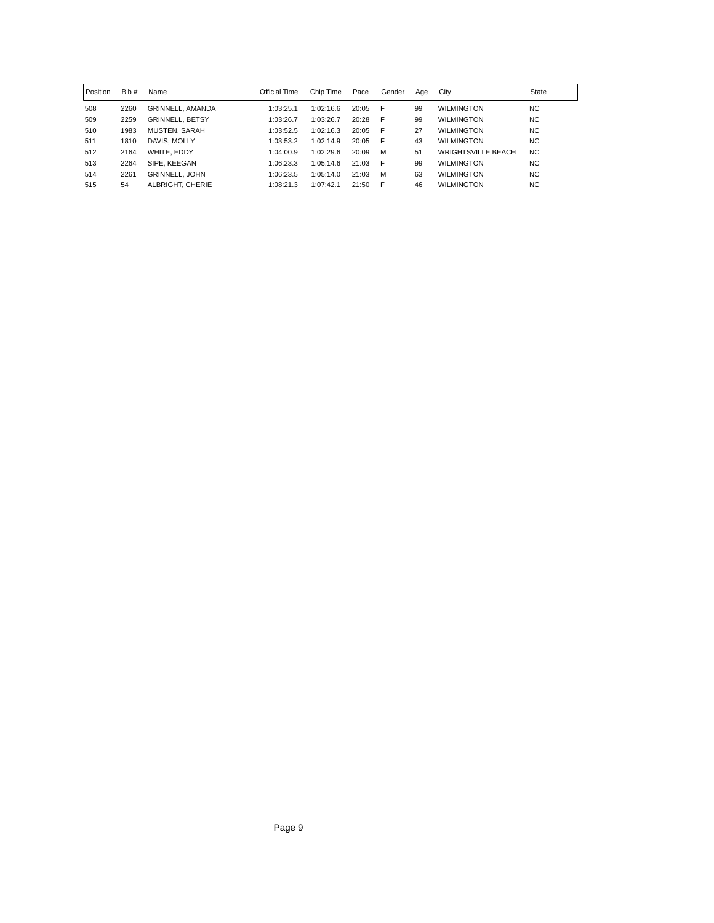| l Position | Bib # | Name                   | Official Time | Chip Time | Pace  | Gender | Aae | City                      | State     |
|------------|-------|------------------------|---------------|-----------|-------|--------|-----|---------------------------|-----------|
| 508        | 2260  | GRINNELL, AMANDA       | 1:03:25.1     | 1:02:16.6 | 20:05 | - F    | 99  | <b>WILMINGTON</b>         | NC.       |
| 509        | 2259  | <b>GRINNELL, BETSY</b> | 1:03:26.7     | 1:03:26.7 | 20:28 | - F    | 99  | <b>WILMINGTON</b>         | <b>NC</b> |
| 510        | 1983  | MUSTEN, SARAH          | 1:03:52.5     | 1:02:16.3 | 20:05 | - F    | 27  | <b>WILMINGTON</b>         | <b>NC</b> |
| 511        | 1810  | DAVIS, MOLLY           | 1:03:53.2     | 1:02:14.9 | 20:05 | - F    | 43  | <b>WILMINGTON</b>         | <b>NC</b> |
| 512        | 2164  | WHITE, EDDY            | 1:04:00.9     | 1:02:29.6 | 20:09 | M      | 51  | <b>WRIGHTSVILLE BEACH</b> | NC.       |
| 513        | 2264  | SIPE, KEEGAN           | 1:06:23.3     | 1:05:14.6 | 21:03 | - F    | 99  | <b>WILMINGTON</b>         | <b>NC</b> |
| 514        | 2261  | <b>GRINNELL, JOHN</b>  | 1:06:23.5     | 1:05:14.0 | 21:03 | M      | 63  | <b>WILMINGTON</b>         | <b>NC</b> |
| 515        | 54    | ALBRIGHT, CHERIE       | 1:08:21.3     | 1:07:42.1 | 21:50 | F      | 46  | <b>WILMINGTON</b>         | NC.       |